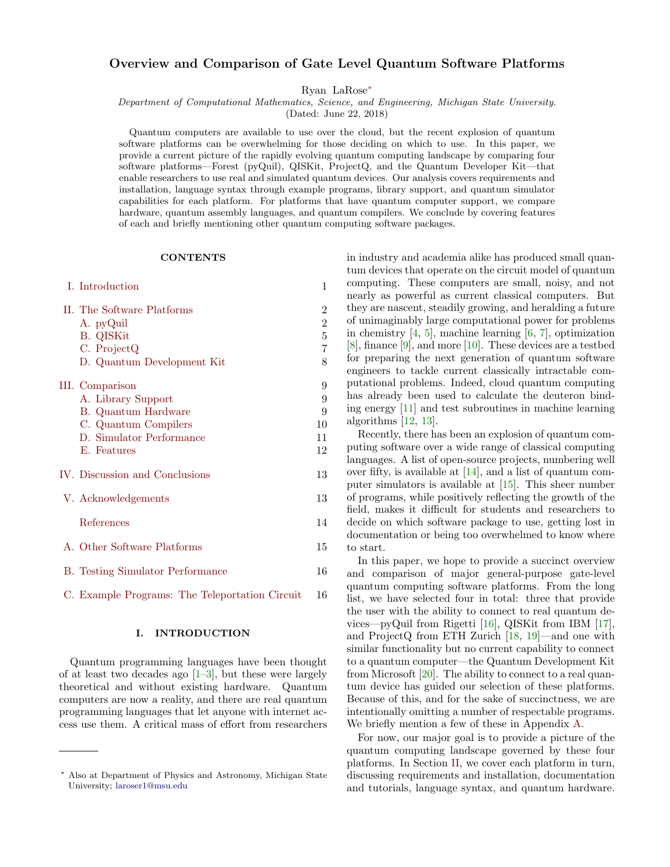# Overview and Comparison of Gate Level Quantum Software Platforms

Ryan LaRose[∗](#page-0-0)

Department of Computational Mathematics, Science, and Engineering, Michigan State University.

(Dated: June 22, 2018)

Quantum computers are available to use over the cloud, but the recent explosion of quantum software platforms can be overwhelming for those deciding on which to use. In this paper, we provide a current picture of the rapidly evolving quantum computing landscape by comparing four software platforms—Forest (pyQuil), QISKit, ProjectQ, and the Quantum Developer Kit—that enable researchers to use real and simulated quantum devices. Our analysis covers requirements and installation, language syntax through example programs, library support, and quantum simulator capabilities for each platform. For platforms that have quantum computer support, we compare hardware, quantum assembly languages, and quantum compilers. We conclude by covering features of each and briefly mentioning other quantum computing software packages.

#### **CONTENTS**

| I. Introduction                         | 1              |
|-----------------------------------------|----------------|
| II. The Software Platforms              | $\overline{2}$ |
| A. pyQuil                               | $\overline{2}$ |
| <b>B.</b> QISKit                        | $\overline{5}$ |
| C. ProjectQ                             | $\overline{7}$ |
| D. Quantum Development Kit              | 8              |
| III. Comparison                         | 9              |
| A. Library Support                      | 9              |
| B. Quantum Hardware                     | 9              |
| C. Quantum Compilers                    | 10             |
| D. Simulator Performance                | 11             |
| E. Features                             | 12             |
| IV. Discussion and Conclusions          | 13             |
| V. Acknowledgements                     | 13             |
| References                              | 14             |
| A. Other Software Platforms             | 15             |
| <b>B.</b> Testing Simulator Performance | 16             |

[C. Example Programs: The Teleportation Circuit](#page-15-1) 16

## <span id="page-0-1"></span>I. INTRODUCTION

Quantum programming languages have been thought of at least two decades ago  $[1-3]$  $[1-3]$ , but these were largely theoretical and without existing hardware. Quantum computers are now a reality, and there are real quantum programming languages that let anyone with internet access use them. A critical mass of effort from researchers

in industry and academia alike has produced small quantum devices that operate on the circuit model of quantum computing. These computers are small, noisy, and not nearly as powerful as current classical computers. But they are nascent, steadily growing, and heralding a future of unimaginably large computational power for problems in chemistry [\[4,](#page-13-3) [5\]](#page-13-4), machine learning [\[6,](#page-13-5) [7\]](#page-13-6), optimization [\[8\]](#page-13-7), finance [\[9\]](#page-13-8), and more [\[10\]](#page-13-9). These devices are a testbed for preparing the next generation of quantum software engineers to tackle current classically intractable computational problems. Indeed, cloud quantum computing has already been used to calculate the deuteron binding energy [\[11\]](#page-13-10) and test subroutines in machine learning algorithms [\[12,](#page-13-11) [13\]](#page-13-12).

Recently, there has been an explosion of quantum computing software over a wide range of classical computing languages. A list of open-source projects, numbering well over fifty, is available at [\[14\]](#page-13-13), and a list of quantum computer simulators is available at [\[15\]](#page-13-14). This sheer number of programs, while positively reflecting the growth of the field, makes it difficult for students and researchers to decide on which software package to use, getting lost in documentation or being too overwhelmed to know where to start.

In this paper, we hope to provide a succinct overview and comparison of major general-purpose gate-level quantum computing software platforms. From the long list, we have selected four in total: three that provide the user with the ability to connect to real quantum devices—pyQuil from Rigetti [\[16\]](#page-13-15), QISKit from IBM [\[17\]](#page-13-16), and ProjectQ from ETH Zurich [\[18,](#page-13-17) [19\]](#page-13-18)—and one with similar functionality but no current capability to connect to a quantum computer—the Quantum Development Kit from Microsoft [\[20\]](#page-13-19). The ability to connect to a real quantum device has guided our selection of these platforms. Because of this, and for the sake of succinctness, we are intentionally omitting a number of respectable programs. We briefly mention a few of these in Appendix [A.](#page-14-0)

For now, our major goal is to provide a picture of the quantum computing landscape governed by these four platforms. In Section [II,](#page-1-0) we cover each platform in turn, discussing requirements and installation, documentation and tutorials, language syntax, and quantum hardware.

<span id="page-0-0"></span><sup>∗</sup> Also at Department of Physics and Astronomy, Michigan State University; [laroser1@msu.edu](mailto:laroser1@msu.edu)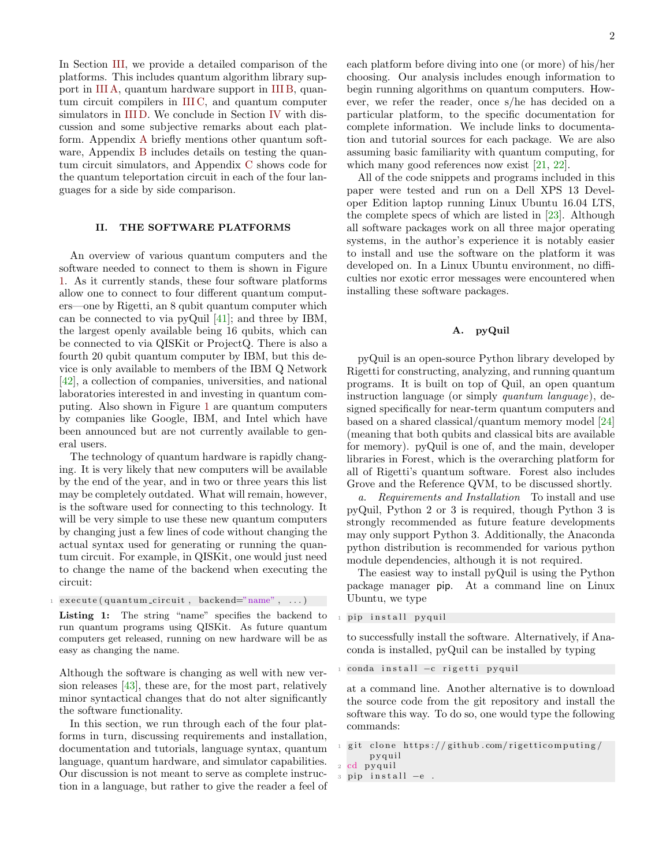In Section [III,](#page-8-0) we provide a detailed comparison of the platforms. This includes quantum algorithm library support in [III A,](#page-8-1) quantum hardware support in [III B,](#page-8-2) quantum circuit compilers in [III C,](#page-9-0) and quantum computer simulators in [III D.](#page-10-0) We conclude in Section [IV](#page-12-0) with discussion and some subjective remarks about each platform. Appendix [A](#page-14-0) briefly mentions other quantum software, Appendix [B](#page-15-0) includes details on testing the quantum circuit simulators, and Appendix [C](#page-15-1) shows code for the quantum teleportation circuit in each of the four languages for a side by side comparison.

# <span id="page-1-0"></span>II. THE SOFTWARE PLATFORMS

An overview of various quantum computers and the software needed to connect to them is shown in Figure [1.](#page-2-0) As it currently stands, these four software platforms allow one to connect to four different quantum computers—one by Rigetti, an 8 qubit quantum computer which can be connected to via pyQuil [\[41\]](#page-14-1); and three by IBM, the largest openly available being 16 qubits, which can be connected to via QISKit or ProjectQ. There is also a fourth 20 qubit quantum computer by IBM, but this device is only available to members of the IBM Q Network [\[42\]](#page-14-2), a collection of companies, universities, and national laboratories interested in and investing in quantum computing. Also shown in Figure [1](#page-2-0) are quantum computers by companies like Google, IBM, and Intel which have been announced but are not currently available to general users.

The technology of quantum hardware is rapidly changing. It is very likely that new computers will be available by the end of the year, and in two or three years this list may be completely outdated. What will remain, however, is the software used for connecting to this technology. It will be very simple to use these new quantum computers by changing just a few lines of code without changing the actual syntax used for generating or running the quantum circuit. For example, in QISKit, one would just need to change the name of the backend when executing the circuit:

 $\text{execute}(\text{quantum\_circuit}, \text{backend} = \text{"name"} , ... )$ 

Listing 1: The string "name" specifies the backend to run quantum programs using QISKit. As future quantum computers get released, running on new hardware will be as easy as changing the name.

Although the software is changing as well with new version releases [\[43\]](#page-14-3), these are, for the most part, relatively minor syntactical changes that do not alter significantly the software functionality.

In this section, we run through each of the four platforms in turn, discussing requirements and installation, documentation and tutorials, language syntax, quantum language, quantum hardware, and simulator capabilities. Our discussion is not meant to serve as complete instruction in a language, but rather to give the reader a feel of each platform before diving into one (or more) of his/her choosing. Our analysis includes enough information to begin running algorithms on quantum computers. However, we refer the reader, once s/he has decided on a particular platform, to the specific documentation for complete information. We include links to documentation and tutorial sources for each package. We are also assuming basic familiarity with quantum computing, for which many good references now exist [\[21,](#page-13-20) [22\]](#page-13-21).

All of the code snippets and programs included in this paper were tested and run on a Dell XPS 13 Developer Edition laptop running Linux Ubuntu 16.04 LTS, the complete specs of which are listed in [\[23\]](#page-13-22). Although all software packages work on all three major operating systems, in the author's experience it is notably easier to install and use the software on the platform it was developed on. In a Linux Ubuntu environment, no difficulties nor exotic error messages were encountered when installing these software packages.

# <span id="page-1-1"></span>A. pyQuil

pyQuil is an open-source Python library developed by Rigetti for constructing, analyzing, and running quantum programs. It is built on top of Quil, an open quantum instruction language (or simply quantum language), designed specifically for near-term quantum computers and based on a shared classical/quantum memory model [\[24\]](#page-13-23) (meaning that both qubits and classical bits are available for memory). pyQuil is one of, and the main, developer libraries in Forest, which is the overarching platform for all of Rigetti's quantum software. Forest also includes Grove and the Reference QVM, to be discussed shortly.

a. Requirements and Installation To install and use pyQuil, Python 2 or 3 is required, though Python 3 is strongly recommended as future feature developments may only support Python 3. Additionally, the Anaconda python distribution is recommended for various python module dependencies, although it is not required.

The easiest way to install pyQuil is using the Python package manager pip. At a command line on Linux Ubuntu, we type

pip install pyquil

to successfully install the software. Alternatively, if Anaconda is installed, pyQuil can be installed by typing

conda install −c rigetti pyquil

at a command line. Another alternative is to download the source code from the git repository and install the software this way. To do so, one would type the following commands:

```
git clone https://github.com/rigetticomputing/p y q uil
cd pyquil
```

```
pip install −e.
```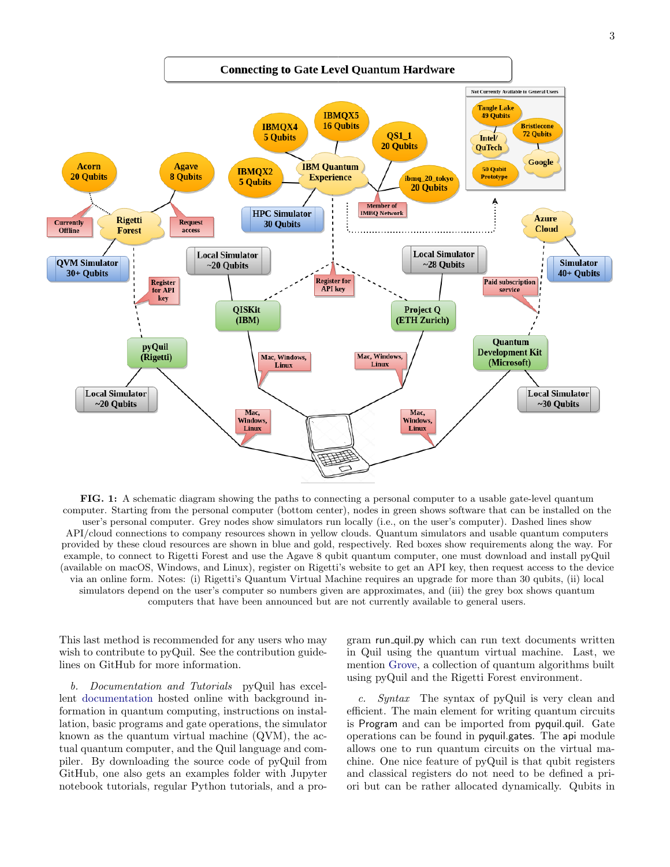<span id="page-2-0"></span>

FIG. 1: A schematic diagram showing the paths to connecting a personal computer to a usable gate-level quantum computer. Starting from the personal computer (bottom center), nodes in green shows software that can be installed on the user's personal computer. Grey nodes show simulators run locally (i.e., on the user's computer). Dashed lines show API/cloud connections to company resources shown in yellow clouds. Quantum simulators and usable quantum computers provided by these cloud resources are shown in blue and gold, respectively. Red boxes show requirements along the way. For example, to connect to Rigetti Forest and use the Agave 8 qubit quantum computer, one must download and install pyQuil (available on macOS, Windows, and Linux), register on Rigetti's website to get an API key, then request access to the device via an online form. Notes: (i) Rigetti's Quantum Virtual Machine requires an upgrade for more than 30 qubits, (ii) local simulators depend on the user's computer so numbers given are approximates, and (iii) the grey box shows quantum computers that have been announced but are not currently available to general users.

This last method is recommended for any users who may wish to contribute to pyQuil. See the contribution guidelines on GitHub for more information.

b. Documentation and Tutorials pyQuil has excellent [documentation](http://pyquil.readthedocs.io/en/latest/index.html) hosted online with background information in quantum computing, instructions on installation, basic programs and gate operations, the simulator known as the quantum virtual machine (QVM), the actual quantum computer, and the Quil language and compiler. By downloading the source code of pyQuil from GitHub, one also gets an examples folder with Jupyter notebook tutorials, regular Python tutorials, and a pro-

gram run quil.py which can run text documents written in Quil using the quantum virtual machine. Last, we mention [Grove,](https://github.com/rigetticomputing/grove) a collection of quantum algorithms built using pyQuil and the Rigetti Forest environment.

c. Syntax The syntax of pyQuil is very clean and efficient. The main element for writing quantum circuits is Program and can be imported from pyquil.quil. Gate operations can be found in pyquil.gates. The api module allows one to run quantum circuits on the virtual machine. One nice feature of pyQuil is that qubit registers and classical registers do not need to be defined a priori but can be rather allocated dynamically. Qubits in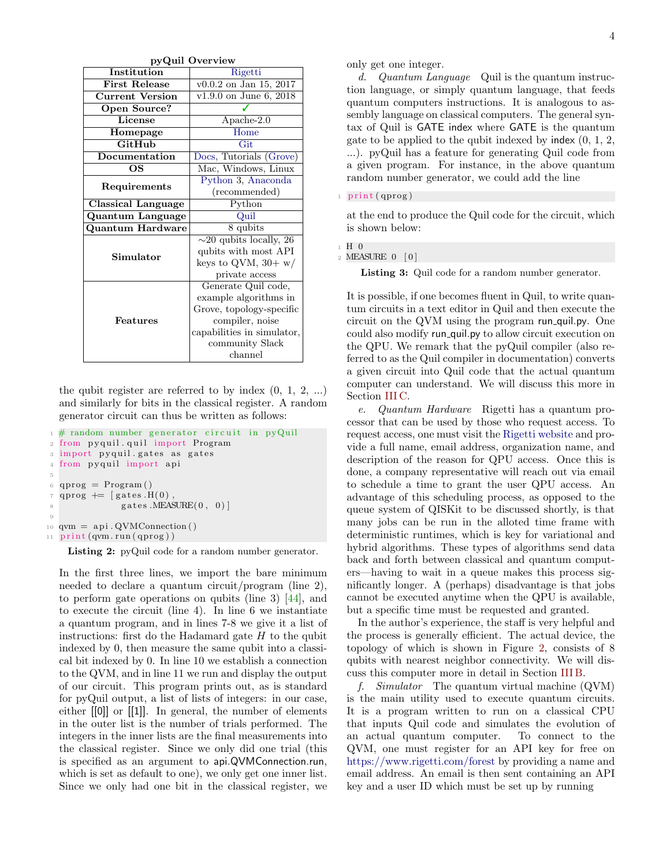|                           | pyQuil Overview              |  |  |  |  |
|---------------------------|------------------------------|--|--|--|--|
| Institution               | Rigetti                      |  |  |  |  |
| <b>First Release</b>      | v0.0.2 on Jan 15, 2017       |  |  |  |  |
| <b>Current Version</b>    | $v1.9.0$ on June 6, 2018     |  |  |  |  |
| Open Source?              |                              |  |  |  |  |
| License                   | $A$ pache-2.0                |  |  |  |  |
| Homepage                  | Home                         |  |  |  |  |
| GitHub                    | Git                          |  |  |  |  |
| Documentation             | Docs, Tutorials (Grove)      |  |  |  |  |
| OS                        | Mac, Windows, Linux          |  |  |  |  |
| Requirements              | Python 3, Anaconda           |  |  |  |  |
|                           | (recommended)                |  |  |  |  |
| <b>Classical Language</b> | Python                       |  |  |  |  |
| <b>Quantum Language</b>   | Quil                         |  |  |  |  |
| Quantum Hardware          | $8 \overline{\text{qubits}}$ |  |  |  |  |
|                           | $\sim$ 20 qubits locally, 26 |  |  |  |  |
| Simulator                 | qubits with most API         |  |  |  |  |
|                           | keys to QVM, $30 + w/$       |  |  |  |  |
|                           | private access               |  |  |  |  |
|                           | Generate Quil code,          |  |  |  |  |
|                           | example algorithms in        |  |  |  |  |
|                           | Grove, topology-specific     |  |  |  |  |
| Features                  | compiler, noise              |  |  |  |  |
|                           | capabilities in simulator,   |  |  |  |  |
|                           | community Slack              |  |  |  |  |
|                           | channel                      |  |  |  |  |

the qubit register are referred to by index  $(0, 1, 2, ...)$ and similarly for bits in the classical register. A random generator circuit can thus be written as follows:

```
1 \# random number generator circuit in pyQuil
2 from pyquil.quil import Program
3 import pyquil .gates as gates
4 from pyquil import api
5
6 qprog = Program()\tau qprog \equiv [gates H(0),
              gates.MEASURE(0, 0)9
_{10} qvm = api. QVMConnection ()
11 print (qvm.run (qprog))
```
Listing 2: pyQuil code for a random number generator.

In the first three lines, we import the bare minimum needed to declare a quantum circuit/program (line 2), to perform gate operations on qubits (line 3) [\[44\]](#page-14-4), and to execute the circuit (line 4). In line 6 we instantiate a quantum program, and in lines 7-8 we give it a list of instructions: first do the Hadamard gate  $H$  to the qubit indexed by 0, then measure the same qubit into a classical bit indexed by 0. In line 10 we establish a connection to the QVM, and in line 11 we run and display the output of our circuit. This program prints out, as is standard for pyQuil output, a list of lists of integers: in our case, either [[0]] or [[1]]. In general, the number of elements in the outer list is the number of trials performed. The integers in the inner lists are the final measurements into the classical register. Since we only did one trial (this is specified as an argument to api.QVMConnection.run, which is set as default to one), we only get one inner list. Since we only had one bit in the classical register, we

only get one integer.

d. Quantum Language Quil is the quantum instruction language, or simply quantum language, that feeds quantum computers instructions. It is analogous to assembly language on classical computers. The general syntax of Quil is GATE index where GATE is the quantum gate to be applied to the qubit indexed by index  $(0, 1, 2, ...)$ ...). pyQuil has a feature for generating Quil code from a given program. For instance, in the above quantum random number generator, we could add the line

### print (qprog)

at the end to produce the Quil code for the circuit, which is shown below:

```
1 H 0
```
2 MEASURE 0 [0]

Listing 3: Quil code for a random number generator.

It is possible, if one becomes fluent in Quil, to write quantum circuits in a text editor in Quil and then execute the circuit on the QVM using the program run quil.py. One could also modify run quil.py to allow circuit execution on the QPU. We remark that the pyQuil compiler (also referred to as the Quil compiler in documentation) converts a given circuit into Quil code that the actual quantum computer can understand. We will discuss this more in Section [III C.](#page-9-0)

e. Quantum Hardware Rigetti has a quantum processor that can be used by those who request access. To request access, one must visit the [Rigetti website](https://www.rigetti.com/qpu-request) and provide a full name, email address, organization name, and description of the reason for QPU access. Once this is done, a company representative will reach out via email to schedule a time to grant the user QPU access. An advantage of this scheduling process, as opposed to the queue system of QISKit to be discussed shortly, is that many jobs can be run in the alloted time frame with deterministic runtimes, which is key for variational and hybrid algorithms. These types of algorithms send data back and forth between classical and quantum computers—having to wait in a queue makes this process significantly longer. A (perhaps) disadvantage is that jobs cannot be executed anytime when the QPU is available, but a specific time must be requested and granted.

In the author's experience, the staff is very helpful and the process is generally efficient. The actual device, the topology of which is shown in Figure [2,](#page-4-1) consists of 8 qubits with nearest neighbor connectivity. We will discuss this computer more in detail in Section [III B.](#page-8-2)

f. Simulator The quantum virtual machine (QVM) is the main utility used to execute quantum circuits. It is a program written to run on a classical CPU that inputs Quil code and simulates the evolution of an actual quantum computer. To connect to the QVM, one must register for an API key for free on <https://www.rigetti.com/forest> by providing a name and email address. An email is then sent containing an API key and a user ID which must be set up by running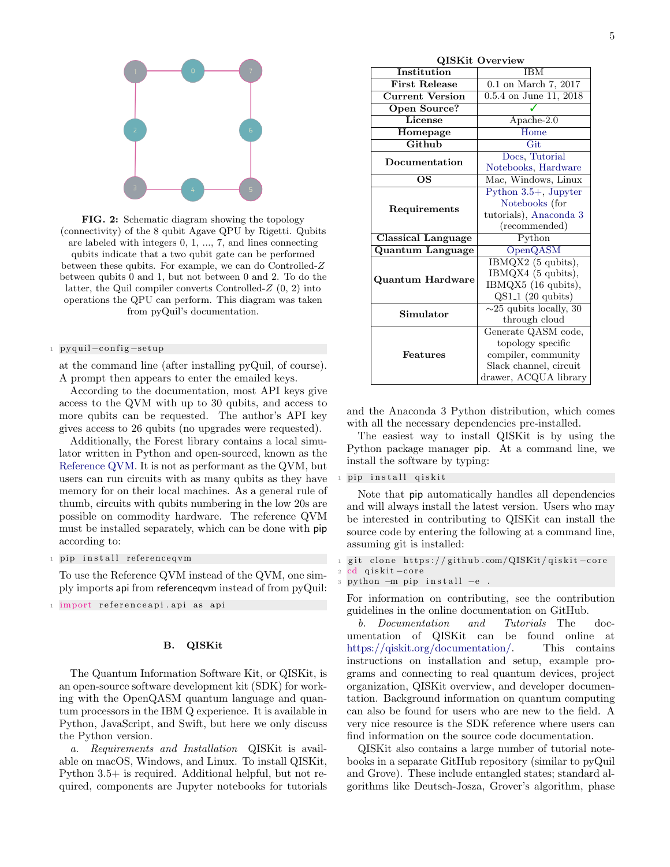<span id="page-4-1"></span>

FIG. 2: Schematic diagram showing the topology (connectivity) of the 8 qubit Agave QPU by Rigetti. Qubits are labeled with integers 0, 1, ..., 7, and lines connecting qubits indicate that a two qubit gate can be performed between these qubits. For example, we can do Controlled-Z between qubits 0 and 1, but not between 0 and 2. To do the latter, the Quil compiler converts Controlled- $Z(0, 2)$  into operations the QPU can perform. This diagram was taken from pyQuil's documentation.

### <sup>1</sup> p y quil −c o n fi g −se tup

at the command line (after installing pyQuil, of course). A prompt then appears to enter the emailed keys.

According to the documentation, most API keys give access to the QVM with up to 30 qubits, and access to more qubits can be requested. The author's API key gives access to 26 qubits (no upgrades were requested).

Additionally, the Forest library contains a local simulator written in Python and open-sourced, known as the [Reference QVM.](https://github.com/rigetticomputing/reference-qvm) It is not as performant as the QVM, but users can run circuits with as many qubits as they have memory for on their local machines. As a general rule of thumb, circuits with qubits numbering in the low 20s are possible on commodity hardware. The reference QVM must be installed separately, which can be done with pip according to:

### 1 pip install referencegym

To use the Reference QVM instead of the QVM, one simply imports api from referenceqvm instead of from pyQuil:

1 import referenceapi.api as api

# <span id="page-4-0"></span>B. QISKit

The Quantum Information Software Kit, or QISKit, is an open-source software development kit (SDK) for working with the OpenQASM quantum language and quantum processors in the IBM Q experience. It is available in Python, JavaScript, and Swift, but here we only discuss the Python version.

a. Requirements and Installation QISKit is available on macOS, Windows, and Linux. To install QISKit, Python 3.5+ is required. Additional helpful, but not required, components are Jupyter notebooks for tutorials

| <b>STATE</b>           | o vel view                   |  |  |  |  |
|------------------------|------------------------------|--|--|--|--|
| Institution            | <b>IBM</b>                   |  |  |  |  |
| <b>First Release</b>   | $0.1$ on March 7, 2017       |  |  |  |  |
| <b>Current Version</b> | 0.5.4 on June 11, 2018       |  |  |  |  |
| <b>Open Source?</b>    |                              |  |  |  |  |
| <b>License</b>         | Apache-2.0                   |  |  |  |  |
| Homepage               | $\overline{\text{Home}}$     |  |  |  |  |
| Github                 | Git                          |  |  |  |  |
| Documentation          | Docs, Tutorial               |  |  |  |  |
|                        | Notebooks, Hardware          |  |  |  |  |
| OS                     | Mac, Windows, Linux          |  |  |  |  |
|                        | Python $3.5+$ , Jupyter      |  |  |  |  |
| Requirements           | Notebooks (for               |  |  |  |  |
|                        | tutorials), Anaconda 3       |  |  |  |  |
|                        | (recommended)                |  |  |  |  |
| Classical Language     | Python                       |  |  |  |  |
| Quantum Language       | OpenQASM                     |  |  |  |  |
|                        | $IBMQX2$ (5 qubits),         |  |  |  |  |
| Quantum Hardware       | IBMQX4 (5 qubits),           |  |  |  |  |
|                        | IBMQX5 (16 qubits),          |  |  |  |  |
|                        | $QS1_1$ (20 qubits)          |  |  |  |  |
| Simulator              | $\sim$ 25 qubits locally, 30 |  |  |  |  |
|                        | through cloud                |  |  |  |  |
|                        | Generate QASM code,          |  |  |  |  |
|                        | topology specific            |  |  |  |  |
| Features               | compiler, community          |  |  |  |  |
|                        | Slack channel, circuit       |  |  |  |  |
|                        | drawer, ACQUA library        |  |  |  |  |

 $\Omega$ ISK $\mathbf{F}$  Overview

and the Anaconda 3 Python distribution, which comes with all the necessary dependencies pre-installed.

The easiest way to install QISKit is by using the Python package manager pip. At a command line, we install the software by typing:

## pip install qiskit

Note that pip automatically handles all dependencies and will always install the latest version. Users who may be interested in contributing to QISKit can install the source code by entering the following at a command line, assuming git is installed:

```
git clone https://github.com/QISKit/qiskit-core
cd qiskit-core
```

```
python -m pip install -e.
```
For information on contributing, see the contribution guidelines in the online documentation on GitHub.

b. Documentation and Tutorials The documentation of QISKit can be found online at [https://qiskit.org/documentation/.](https://qiskit.org/documentation/) This contains instructions on installation and setup, example programs and connecting to real quantum devices, project organization, QISKit overview, and developer documentation. Background information on quantum computing can also be found for users who are new to the field. A very nice resource is the SDK reference where users can find information on the source code documentation.

QISKit also contains a large number of tutorial notebooks in a separate GitHub repository (similar to pyQuil and Grove). These include entangled states; standard algorithms like Deutsch-Josza, Grover's algorithm, phase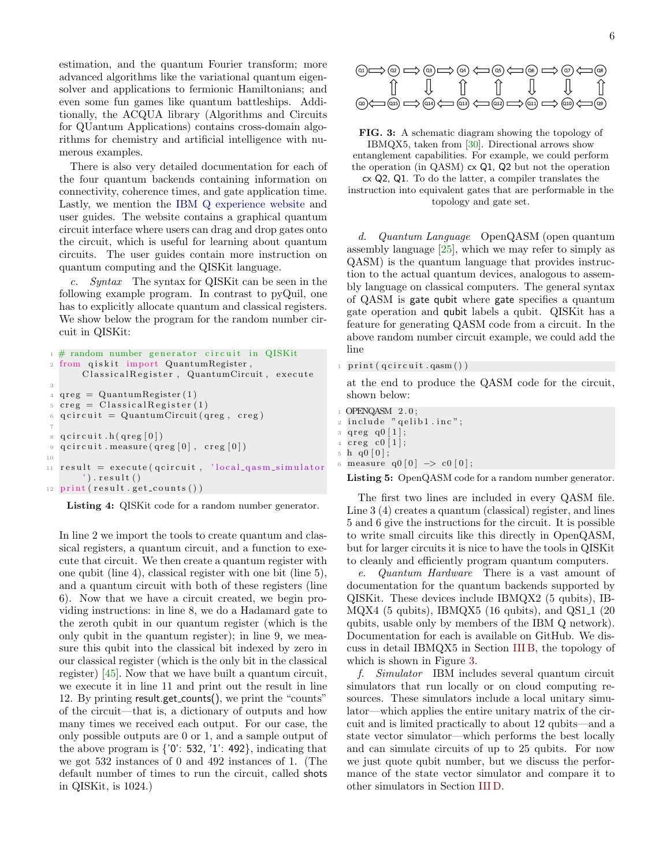estimation, and the quantum Fourier transform; more advanced algorithms like the variational quantum eigensolver and applications to fermionic Hamiltonians; and even some fun games like quantum battleships. Additionally, the ACQUA library (Algorithms and Circuits for QUantum Applications) contains cross-domain algorithms for chemistry and artificial intelligence with numerous examples.

There is also very detailed documentation for each of the four quantum backends containing information on connectivity, coherence times, and gate application time. Lastly, we mention the [IBM Q experience website](https://quantumexperience.ng.bluemix.net/qx/experience) and user guides. The website contains a graphical quantum circuit interface where users can drag and drop gates onto the circuit, which is useful for learning about quantum circuits. The user guides contain more instruction on quantum computing and the QISKit language.

c. Syntax The syntax for QISKit can be seen in the following example program. In contrast to pyQuil, one has to explicitly allocate quantum and classical registers. We show below the program for the random number circuit in QISKit:

```
1 \# random number generator circuit in QISKit
2 from qiskit import QuantumRegister,
        ClassicalRegister, QuantumCircuit, execute
 3
4 \text{~qreg} = \text{Quantum Register}(1)s \text{creg} = \text{Classical Register}(1)6 q c ir cuit = Quantum Circuit (qreg, creg)
 7
\sigma q c i r c u i t . h ( q r e g [0] )
9 q c ir cuit . measure (q reg [0], creg [0])
10
11 result = execute (qcircuit, 'local_qasm_simulator
        \langle \cdot \rangle). result ()
12 print (result.get_counts())
```
Listing 4: QISKit code for a random number generator.

In line 2 we import the tools to create quantum and classical registers, a quantum circuit, and a function to execute that circuit. We then create a quantum register with one qubit (line 4), classical register with one bit (line 5), and a quantum circuit with both of these registers (line 6). Now that we have a circuit created, we begin providing instructions: in line 8, we do a Hadamard gate to the zeroth qubit in our quantum register (which is the only qubit in the quantum register); in line 9, we measure this qubit into the classical bit indexed by zero in our classical register (which is the only bit in the classical register) [\[45\]](#page-14-5). Now that we have built a quantum circuit, we execute it in line 11 and print out the result in line 12. By printing result.get counts(), we print the "counts" of the circuit—that is, a dictionary of outputs and how many times we received each output. For our case, the only possible outputs are 0 or 1, and a sample output of the above program is {'0': 532, '1': 492}, indicating that we got 532 instances of 0 and 492 instances of 1. (The default number of times to run the circuit, called shots in QISKit, is 1024.)

<span id="page-5-0"></span>

FIG. 3: A schematic diagram showing the topology of IBMQX5, taken from [\[30\]](#page-13-24). Directional arrows show entanglement capabilities. For example, we could perform the operation (in QASM) cx Q1, Q2 but not the operation cx Q2, Q1. To do the latter, a compiler translates the

instruction into equivalent gates that are performable in the topology and gate set.

d. Quantum Language OpenQASM (open quantum assembly language [\[25\]](#page-13-25), which we may refer to simply as QASM) is the quantum language that provides instruction to the actual quantum devices, analogous to assembly language on classical computers. The general syntax of QASM is gate qubit where gate specifies a quantum gate operation and qubit labels a qubit. QISKit has a feature for generating QASM code from a circuit. In the above random number circuit example, we could add the line

```
print(qcircuit.qasm())
```
at the end to produce the QASM code for the circuit, shown below:

1 OPENQASM 2.0;  $2$  include " qelib1.inc";  $3 \text{ qreg } q0 \mid 1 \mid ;$  $4 \, \text{creg} \, \text{c}0 \, \lceil 1 \rceil$ ;  $5 \; h \; q0 \; |0);$ measure  $q0 [0] \Rightarrow c0 [0];$ Listing 5: OpenQASM code for a random number generator.

The first two lines are included in every QASM file. Line 3 (4) creates a quantum (classical) register, and lines 5 and 6 give the instructions for the circuit. It is possible to write small circuits like this directly in OpenQASM, but for larger circuits it is nice to have the tools in QISKit to cleanly and efficiently program quantum computers.

e. Quantum Hardware There is a vast amount of documentation for the quantum backends supported by QISKit. These devices include IBMQX2 (5 qubits), IB- $MQX4$  (5 qubits), IBMQX5 (16 qubits), and  $QS1_1$  (20 qubits, usable only by members of the IBM Q network). Documentation for each is available on GitHub. We discuss in detail IBMQX5 in Section [III B,](#page-8-2) the topology of which is shown in Figure [3.](#page-5-0)

f. Simulator IBM includes several quantum circuit simulators that run locally or on cloud computing resources. These simulators include a local unitary simulator—which applies the entire unitary matrix of the circuit and is limited practically to about 12 qubits—and a state vector simulator—which performs the best locally and can simulate circuits of up to 25 qubits. For now we just quote qubit number, but we discuss the performance of the state vector simulator and compare it to other simulators in Section [III D.](#page-10-0)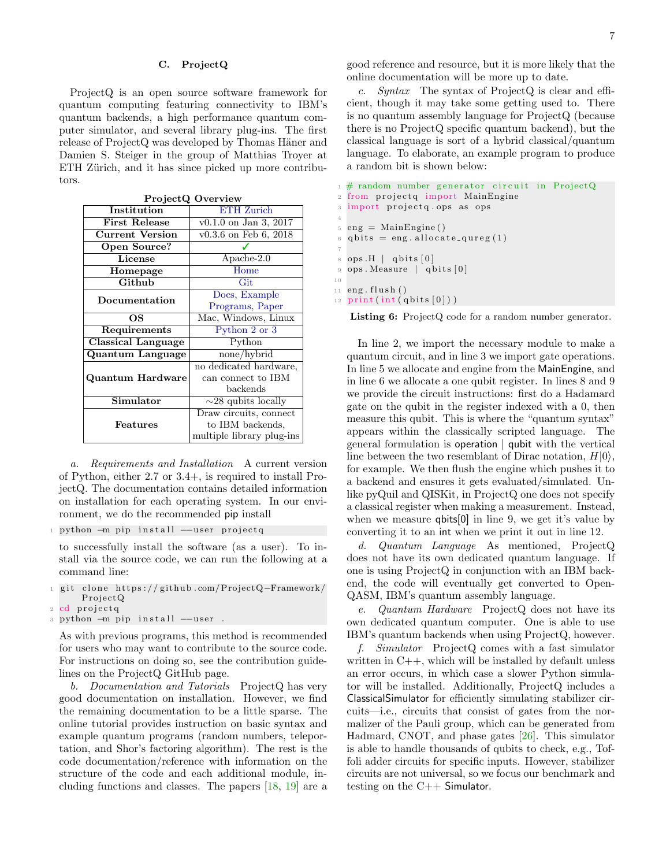## <span id="page-6-0"></span>C. ProjectQ

ProjectQ is an open source software framework for quantum computing featuring connectivity to IBM's quantum backends, a high performance quantum computer simulator, and several library plug-ins. The first release of ProjectQ was developed by Thomas Häner and Damien S. Steiger in the group of Matthias Troyer at ETH Zürich, and it has since picked up more contributors.

| Institution               | <b>ETH</b> Zurich         |  |  |  |  |
|---------------------------|---------------------------|--|--|--|--|
| <b>First Release</b>      | $v0.1.0$ on Jan 3, 2017   |  |  |  |  |
| <b>Current Version</b>    | $v0.3.6$ on Feb 6, 2018   |  |  |  |  |
| Open Source?              |                           |  |  |  |  |
| License                   | $A$ pache-2.0             |  |  |  |  |
| Homepage                  | Home                      |  |  |  |  |
| Github                    | Git                       |  |  |  |  |
| Documentation             | Docs, Example             |  |  |  |  |
|                           | Programs, Paper           |  |  |  |  |
| OS                        | Mac, Windows, Linux       |  |  |  |  |
| Requirements              | Python $2$ or $3$         |  |  |  |  |
| <b>Classical Language</b> | Python                    |  |  |  |  |
| Quantum Language          | none/hybrid               |  |  |  |  |
|                           | no dedicated hardware,    |  |  |  |  |
| Quantum Hardware          | can connect to IBM        |  |  |  |  |
|                           | backends                  |  |  |  |  |
| Simulator                 | $\sim$ 28 qubits locally  |  |  |  |  |
|                           | Draw circuits, connect    |  |  |  |  |
| Features                  | to IBM backends.          |  |  |  |  |
|                           | multiple library plug-ins |  |  |  |  |

ProjectQ Overview

a. Requirements and Installation A current version of Python, either 2.7 or 3.4+, is required to install ProjectQ. The documentation contains detailed information on installation for each operating system. In our environment, we do the recommended pip install

1 python -m pip install --user projectq

to successfully install the software (as a user). To install via the source code, we can run the following at a command line:

- git clone https://github.com/ProjectQ-Framework/ Pro jectQ
- 2 cd projectq
- 3 python -m pip install --user .

As with previous programs, this method is recommended for users who may want to contribute to the source code. For instructions on doing so, see the contribution guidelines on the ProjectQ GitHub page.

b. Documentation and Tutorials ProjectQ has very good documentation on installation. However, we find the remaining documentation to be a little sparse. The online tutorial provides instruction on basic syntax and example quantum programs (random numbers, teleportation, and Shor's factoring algorithm). The rest is the code documentation/reference with information on the structure of the code and each additional module, including functions and classes. The papers [\[18,](#page-13-17) [19\]](#page-13-18) are a

good reference and resource, but it is more likely that the online documentation will be more up to date.

c. Syntax The syntax of ProjectQ is clear and efficient, though it may take some getting used to. There is no quantum assembly language for ProjectQ (because there is no ProjectQ specific quantum backend), but the classical language is sort of a hybrid classical/quantum language. To elaborate, an example program to produce a random bit is shown below:

```
1 \# random number generator circuit in ProjectQ
2 from projectq import MainEngine
3 import projectq.ops as ops
4
= eng = MainEngine()
6 q bits = eng. allocate_qureg (1)
7
  ops.H | qbits[0]9 ops . Measure | qbits [0]
10
11 eng. flush ()
12 print (int (qbits [0]))
```
Listing 6: ProjectQ code for a random number generator.

In line 2, we import the necessary module to make a quantum circuit, and in line 3 we import gate operations. In line 5 we allocate and engine from the MainEngine, and in line 6 we allocate a one qubit register. In lines 8 and 9 we provide the circuit instructions: first do a Hadamard gate on the qubit in the register indexed with a 0, then measure this qubit. This is where the "quantum syntax" appears within the classically scripted language. The general formulation is operation | qubit with the vertical line between the two resemblant of Dirac notation,  $H|0\rangle$ , for example. We then flush the engine which pushes it to a backend and ensures it gets evaluated/simulated. Unlike pyQuil and QISKit, in ProjectQ one does not specify a classical register when making a measurement. Instead, when we measure **qbits**[0] in line 9, we get it's value by converting it to an int when we print it out in line 12.

d. Quantum Language As mentioned, ProjectQ does not have its own dedicated quantum language. If one is using ProjectQ in conjunction with an IBM backend, the code will eventually get converted to Open-QASM, IBM's quantum assembly language.

e. Quantum Hardware ProjectQ does not have its own dedicated quantum computer. One is able to use IBM's quantum backends when using ProjectQ, however.

f. Simulator ProjectQ comes with a fast simulator written in  $C++$ , which will be installed by default unless an error occurs, in which case a slower Python simulator will be installed. Additionally, ProjectQ includes a ClassicalSimulator for efficiently simulating stabilizer circuits—i.e., circuits that consist of gates from the normalizer of the Pauli group, which can be generated from Hadmard, CNOT, and phase gates [\[26\]](#page-13-26). This simulator is able to handle thousands of qubits to check, e.g., Toffoli adder circuits for specific inputs. However, stabilizer circuits are not universal, so we focus our benchmark and testing on the C++ Simulator.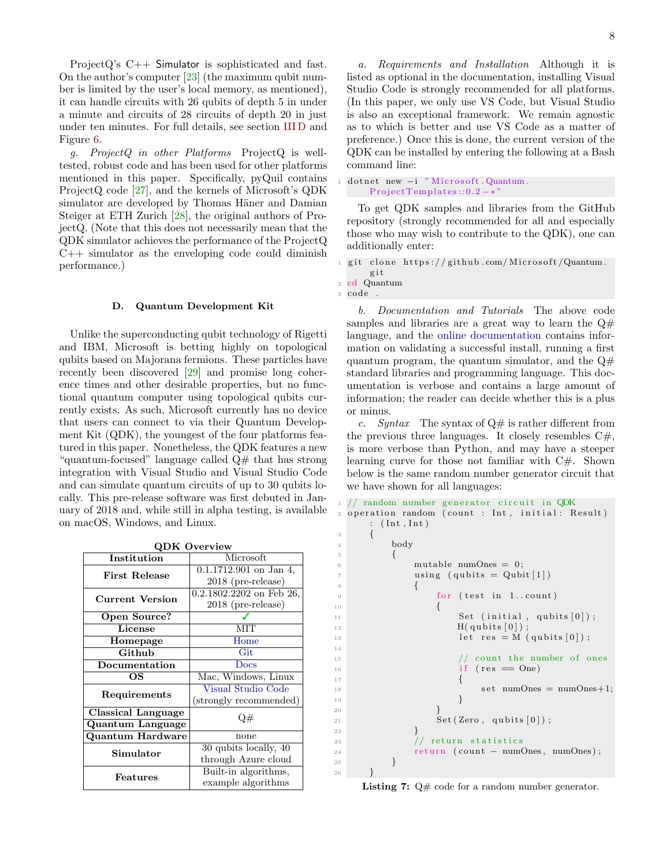ProjectQ's C++ Simulator is sophisticated and fast. On the author's computer [\[23\]](#page-13-22) (the maximum qubit number is limited by the user's local memory, as mentioned), it can handle circuits with 26 qubits of depth 5 in under a minute and circuits of 28 circuits of depth 20 in just under ten minutes. For full details, see section [III D](#page-10-0) and Figure [6.](#page-11-1)

g. ProjectQ in other Platforms ProjectQ is welltested, robust code and has been used for other platforms mentioned in this paper. Specifically, pyQuil contains ProjectQ code [\[27\]](#page-13-27), and the kernels of Microsoft's QDK simulator are developed by Thomas Häner and Damian Steiger at ETH Zurich [\[28\]](#page-13-28), the original authors of ProjectQ. (Note that this does not necessarily mean that the QDK simulator achieves the performance of the ProjectQ  $C++$  simulator as the enveloping code could diminish performance.)

## <span id="page-7-0"></span>D. Quantum Development Kit

Unlike the superconducting qubit technology of Rigetti and IBM, Microsoft is betting highly on topological qubits based on Majorana fermions. These particles have recently been discovered [\[29\]](#page-13-29) and promise long coherence times and other desirable properties, but no functional quantum computer using topological qubits currently exists. As such, Microsoft currently has no device that users can connect to via their Quantum Development Kit (QDK), the youngest of the four platforms featured in this paper. Nonetheless, the QDK features a new "quantum-focused" language called Q# that has strong integration with Visual Studio and Visual Studio Code and can simulate quantum circuits of up to 30 qubits locally. This pre-release software was first debuted in January of 2018 and, while still in alpha testing, is available on macOS, Windows, and Linux.

| <b>QDK Overview</b>       |                          |  |  |  |  |  |
|---------------------------|--------------------------|--|--|--|--|--|
| Institution               | Microsoft                |  |  |  |  |  |
| <b>First Release</b>      | $0.1.1712.901$ on Jan 4, |  |  |  |  |  |
|                           | 2018 (pre-release)       |  |  |  |  |  |
| <b>Current Version</b>    | 0.2.1802.2202 on Feb 26, |  |  |  |  |  |
|                           | 2018 (pre-release)       |  |  |  |  |  |
| Open Source?              |                          |  |  |  |  |  |
| License                   | MIT                      |  |  |  |  |  |
| Homepage                  | Home                     |  |  |  |  |  |
| Github                    | Git                      |  |  |  |  |  |
| Documentation             | Docs                     |  |  |  |  |  |
| OS                        | Mac, Windows, Linux      |  |  |  |  |  |
| Requirements              | Visual Studio Code       |  |  |  |  |  |
|                           | (strongly recommended)   |  |  |  |  |  |
| <b>Classical Language</b> | 2#                       |  |  |  |  |  |
| Quantum Language          |                          |  |  |  |  |  |
| Quantum Hardware          | none                     |  |  |  |  |  |
| Simulator                 | 30 qubits locally, 40    |  |  |  |  |  |
|                           | through Azure cloud      |  |  |  |  |  |
| $\rm{Features}$           | Built-in algorithms,     |  |  |  |  |  |
|                           | example algorithms       |  |  |  |  |  |

a. Requirements and Installation Although it is listed as optional in the documentation, installing Visual Studio Code is strongly recommended for all platforms. (In this paper, we only use VS Code, but Visual Studio is also an exceptional framework. We remain agnostic as to which is better and use VS Code as a matter of preference.) Once this is done, the current version of the QDK can be installed by entering the following at a Bash command line:

dotnet new -i "Microsoft.Quantum.  $Project Templates::0.2-*$ 

To get QDK samples and libraries from the GitHub repository (strongly recommended for all and especially those who may wish to contribute to the QDK), one can additionally enter:

clone  $https://github.com/Microsoft/Quantum.$ 

14

b. Documentation and Tutorials The above code samples and libraries are a great way to learn the  $Q#$ language, and the [online documentation](https://docs.microsoft.com/en-us/quantum/?view=qsharp-preview) contains information on validating a successful install, running a first quantum program, the quantum simulator, and the  $Q#$ standard libraries and programming language. This documentation is verbose and contains a large amount of information; the reader can decide whether this is a plus or minus.

c. Syntax The syntax of  $Q#$  is rather different from the previous three languages. It closely resembles  $C\#$ , is more verbose than Python, and may have a steeper learning curve for those not familiar with C#. Shown below is the same random number generator circuit that we have shown for all languages:

```
random number generator circuit in QDK
   operation random ( count : Int, initial : Result)
         : (Int, Int)
         \{4 body
 5 \hspace{2.5cm} \lbrace6 mutable numOnes = 0;
 7 \tusing (qubits = Qubit[1])\overline{\mathbf{8}} \overline{\mathbf{8}} \overline{\mathbf{8}} \overline{\mathbf{8}} \overline{\mathbf{8}} \overline{\mathbf{8}} \overline{\mathbf{8}} \overline{\mathbf{8}} \overline{\mathbf{8}} \overline{\mathbf{8}} \overline{\mathbf{8}} \overline{\mathbf{8}} \overline{\mathbf{8}} \overline{\mathbf{8}} \overline{\mathbf{8}} \overline{\mathbf{8}} \overline{\mathbf{8}} \overline{\mathbf{8}} \overline{\9 for (test in 1..count)
10 \qquad \qquad11 Set (initial, qubits [0]);
_{12} H( qubits [0]);
13 let res = M (qubits [0]);
<sup>15</sup> // count the number of ones<br>
<sup>16</sup> if (res = One)
\frac{16}{16} if (res = One)
17 \left\{18 \text{set numOnes} = \text{numOnes}+1;\left\{\begin{array}{ccc} 19 & & & \end{array}\right\}20 } \}21 Set (Zero, qubits [0]);
\{22\}\frac{23}{\sqrt{1 + \text{return}} \text{ statistics}}24 return (count − numOnes, numOnes);
25 }
26 }
```
Listing 7:  $Q#$  code for a random number generator.

g i t <sup>2</sup> cd Quantum

<sup>3</sup> code .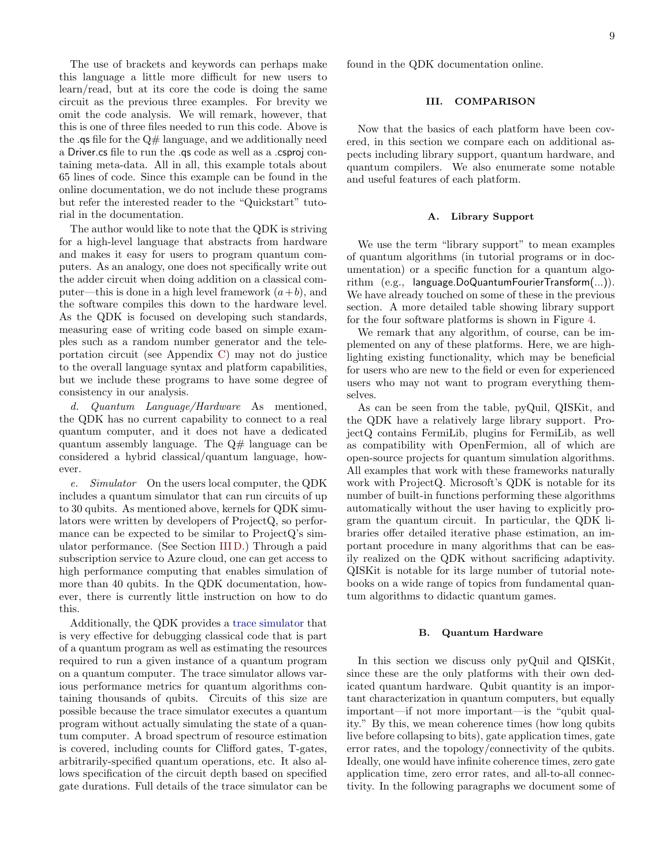The use of brackets and keywords can perhaps make this language a little more difficult for new users to learn/read, but at its core the code is doing the same circuit as the previous three examples. For brevity we omit the code analysis. We will remark, however, that this is one of three files needed to run this code. Above is the  $\alpha$  as file for the  $Q#$  language, and we additionally need a Driver.cs file to run the .qs code as well as a .csproj containing meta-data. All in all, this example totals about 65 lines of code. Since this example can be found in the online documentation, we do not include these programs but refer the interested reader to the "Quickstart" tutorial in the documentation.

The author would like to note that the QDK is striving for a high-level language that abstracts from hardware and makes it easy for users to program quantum computers. As an analogy, one does not specifically write out the adder circuit when doing addition on a classical computer—this is done in a high level framework  $(a+b)$ , and the software compiles this down to the hardware level. As the QDK is focused on developing such standards, measuring ease of writing code based on simple examples such as a random number generator and the teleportation circuit (see Appendix [C\)](#page-15-1) may not do justice to the overall language syntax and platform capabilities, but we include these programs to have some degree of consistency in our analysis.

d. Quantum Language/Hardware As mentioned, the QDK has no current capability to connect to a real quantum computer, and it does not have a dedicated quantum assembly language. The  $Q#$  language can be considered a hybrid classical/quantum language, however.

e. Simulator On the users local computer, the QDK includes a quantum simulator that can run circuits of up to 30 qubits. As mentioned above, kernels for QDK simulators were written by developers of ProjectQ, so performance can be expected to be similar to ProjectQ's simulator performance. (See Section [III D.](#page-10-0)) Through a paid subscription service to Azure cloud, one can get access to high performance computing that enables simulation of more than 40 qubits. In the QDK documentation, however, there is currently little instruction on how to do this.

Additionally, the QDK provides a [trace simulator](https://docs.microsoft.com/en-us/quantum/quantum-computer-trace-simulator-1?view=qsharp-preview) that is very effective for debugging classical code that is part of a quantum program as well as estimating the resources required to run a given instance of a quantum program on a quantum computer. The trace simulator allows various performance metrics for quantum algorithms containing thousands of qubits. Circuits of this size are possible because the trace simulator executes a quantum program without actually simulating the state of a quantum computer. A broad spectrum of resource estimation is covered, including counts for Clifford gates, T-gates, arbitrarily-specified quantum operations, etc. It also allows specification of the circuit depth based on specified gate durations. Full details of the trace simulator can be found in the QDK documentation online.

## <span id="page-8-0"></span>III. COMPARISON

Now that the basics of each platform have been covered, in this section we compare each on additional aspects including library support, quantum hardware, and quantum compilers. We also enumerate some notable and useful features of each platform.

## <span id="page-8-1"></span>A. Library Support

We use the term "library support" to mean examples of quantum algorithms (in tutorial programs or in documentation) or a specific function for a quantum algorithm (e.g., language.DoQuantumFourierTransform(...)). We have already touched on some of these in the previous section. A more detailed table showing library support for the four software platforms is shown in Figure [4.](#page-9-1)

We remark that any algorithm, of course, can be implemented on any of these platforms. Here, we are highlighting existing functionality, which may be beneficial for users who are new to the field or even for experienced users who may not want to program everything themselves.

As can be seen from the table, pyQuil, QISKit, and the QDK have a relatively large library support. ProjectQ contains FermiLib, plugins for FermiLib, as well as compatibility with OpenFermion, all of which are open-source projects for quantum simulation algorithms. All examples that work with these frameworks naturally work with ProjectQ. Microsoft's QDK is notable for its number of built-in functions performing these algorithms automatically without the user having to explicitly program the quantum circuit. In particular, the QDK libraries offer detailed iterative phase estimation, an important procedure in many algorithms that can be easily realized on the QDK without sacrificing adaptivity. QISKit is notable for its large number of tutorial notebooks on a wide range of topics from fundamental quantum algorithms to didactic quantum games.

#### <span id="page-8-2"></span>B. Quantum Hardware

In this section we discuss only pyQuil and QISKit, since these are the only platforms with their own dedicated quantum hardware. Qubit quantity is an important characterization in quantum computers, but equally important—if not more important—is the "qubit quality." By this, we mean coherence times (how long qubits live before collapsing to bits), gate application times, gate error rates, and the topology/connectivity of the qubits. Ideally, one would have infinite coherence times, zero gate application time, zero error rates, and all-to-all connectivity. In the following paragraphs we document some of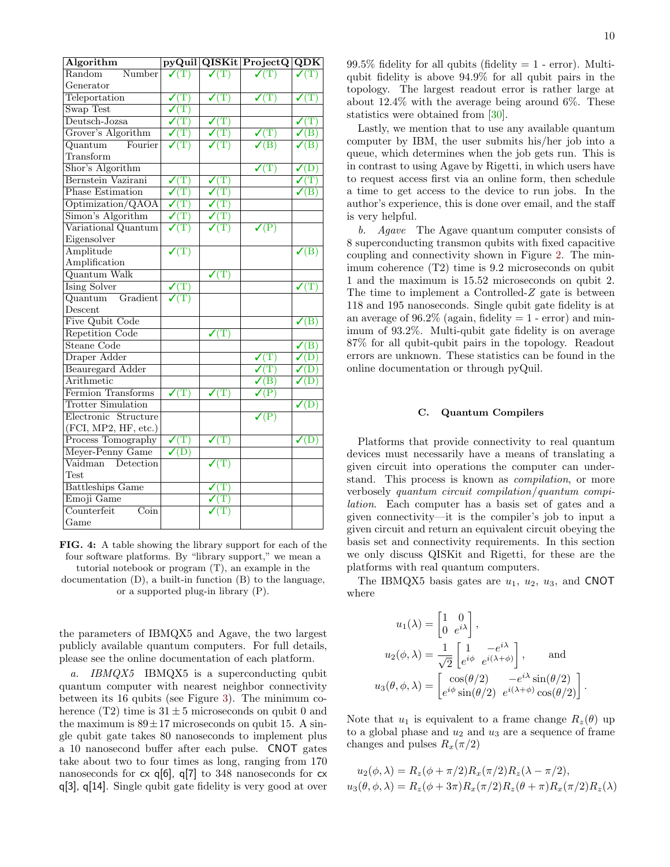<span id="page-9-1"></span>

| Algorithm                                 |                                                |                                           | pyQuil QISKit ProjectQ                 | $\overline{\text{QDK}}$                      |
|-------------------------------------------|------------------------------------------------|-------------------------------------------|----------------------------------------|----------------------------------------------|
| Random<br>Number                          | $\sqrt{T}$                                     | $\sqrt{T}$                                | $\sqrt{T}$                             | $\sqrt{T}$                                   |
| Generator                                 |                                                |                                           |                                        |                                              |
| Teleportation                             | $\sqrt{T}$                                     | $\overline{\mathcal{J}(\mathrm{T})}$      | $\overline{\checkmark(T)}}$            | $\overline{\checkmark\left(\text{T}\right)}$ |
| Swap Test                                 | $\overline{\checkmark(T)}}$                    |                                           |                                        |                                              |
| Deutsch-Jozsa                             | $\overline{\checkmark\left(\mathrm{T}\right)}$ | $\sqrt{T}$                                |                                        | $\sqrt{T}$                                   |
| Grover's Algorithm                        | $\sqrt{\mathrm(T)}$                            | $\sqrt{T}$                                | $\boldsymbol{\mathcal{N}}(\mathrm{T})$ | $\mathcal{V}(B)$                             |
| Fourier<br>Quantum                        | $\overline{{\mathcal{V}}({\rm T})}$            | $\overline{\checkmark\left(\rm T\right)}$ | $\overline{\mathcal{S}(B)}$            | $\sqrt{}$ (B)                                |
| Transform                                 |                                                |                                           |                                        |                                              |
| Shor's Algorithm                          |                                                |                                           | $\sqrt{T}$                             | $\sqrt{D}$                                   |
| Bernstein Vazirani                        | $\sqrt{T}$                                     | $\sqrt{T}$                                |                                        | $\overline{\mathcal{J}(\mathrm{T})}$         |
| <b>Phase Estimation</b>                   | $\sqrt{T}$                                     | $\sqrt{\mathrm(T)}$                       |                                        | $\mathcal{V}(B)$                             |
| Optimization/QAOA                         | $\sqrt{T}$                                     | $\sqrt{T}$                                |                                        |                                              |
| Simon's Algorithm                         | $\sqrt{T}$                                     | $\mathcal{V}(\mathrm{T})$                 |                                        |                                              |
| Variational Quantum                       | $\sqrt{T}$                                     | $\mathcal{V}(\mathrm{T})$                 | $\sqrt{P}$                             |                                              |
| Eigensolver                               |                                                |                                           |                                        |                                              |
| Amplitude                                 | $\overline{\checkmark\left(\mathrm{T}\right)}$ |                                           |                                        | $\sqrt{(\text{B})}$                          |
| Amplification                             |                                                |                                           |                                        |                                              |
| <b>Quantum Walk</b>                       |                                                | $\sqrt{T}$                                |                                        |                                              |
| Ising Solver                              | $\sqrt{T}$                                     |                                           |                                        | $\sqrt{T}$                                   |
| Gradient<br>$\overline{\text{Quantum}}$   | $\sqrt{T}$                                     |                                           |                                        |                                              |
| Descent                                   |                                                |                                           |                                        |                                              |
| Five Qubit Code                           |                                                |                                           |                                        | $\sqrt{B}$                                   |
| Repetition Code                           |                                                | $\sqrt{T}$                                |                                        |                                              |
| Steane Code                               |                                                |                                           |                                        | $\sqrt{B}$                                   |
| Draper Adder                              |                                                |                                           | $\sqrt{T}$                             | $\checkmark$ (D)                             |
| <b>Beauregard Adder</b>                   |                                                |                                           | $\sqrt{T}$                             | $\sqrt{D}$                                   |
| Arithmetic                                |                                                |                                           | $\sqrt{B}$                             | $\checkmark$ (D)                             |
| Fermion Transforms                        | $\sqrt{T}$                                     | $\sqrt{T}$                                | $\sqrt{P}$                             |                                              |
| <b>Trotter Simulation</b>                 |                                                |                                           |                                        | $\sqrt{D}$                                   |
| Electronic Structure                      |                                                |                                           | $\sqrt{P}$                             |                                              |
| (FCI, MP2, HF, etc.)                      |                                                |                                           |                                        |                                              |
| Process Tomography                        | $\sqrt{T}$                                     | $\sqrt{T}$                                |                                        | $\checkmark$ (D)                             |
| Meyer-Penny Game                          | $\checkmark$ (D)                               |                                           |                                        |                                              |
| Vaidman<br>Detection                      |                                                | $\sqrt{T}$                                |                                        |                                              |
| <b>Test</b>                               |                                                |                                           |                                        |                                              |
| <b>Battleships Game</b>                   |                                                | $\boldsymbol{\mathcal{J}}(\mathrm{T})$    |                                        |                                              |
| Emoji Game                                |                                                |                                           |                                        |                                              |
| Counterfeit<br>$\overline{\mathrm{Coin}}$ |                                                | $\boldsymbol{\checkmark}(\text{T})$       |                                        |                                              |
| Game                                      |                                                |                                           |                                        |                                              |

FIG. 4: A table showing the library support for each of the four software platforms. By "library support," we mean a tutorial notebook or program (T), an example in the documentation (D), a built-in function (B) to the language, or a supported plug-in library (P).

the parameters of IBMQX5 and Agave, the two largest publicly available quantum computers. For full details, please see the online documentation of each platform.

a. IBMQX5 IBMQX5 is a superconducting qubit quantum computer with nearest neighbor connectivity between its 16 qubits (see Figure [3\)](#page-5-0). The minimum coherence (T2) time is  $31 \pm 5$  microseconds on qubit 0 and the maximum is  $89 \pm 17$  microseconds on qubit 15. A single qubit gate takes 80 nanoseconds to implement plus a 10 nanosecond buffer after each pulse. CNOT gates take about two to four times as long, ranging from 170 nanoseconds for cx q[6], q[7] to 348 nanoseconds for cx q[3], q[14]. Single qubit gate fidelity is very good at over  $99.5\%$  fidelity for all qubits (fidelity  $= 1$  - error). Multiqubit fidelity is above 94.9% for all qubit pairs in the topology. The largest readout error is rather large at about 12.4% with the average being around 6%. These statistics were obtained from [\[30\]](#page-13-24).

Lastly, we mention that to use any available quantum computer by IBM, the user submits his/her job into a queue, which determines when the job gets run. This is in contrast to using Agave by Rigetti, in which users have to request access first via an online form, then schedule a time to get access to the device to run jobs. In the author's experience, this is done over email, and the staff is very helpful.

b. Agave The Agave quantum computer consists of 8 superconducting transmon qubits with fixed capacitive coupling and connectivity shown in Figure [2.](#page-4-1) The minimum coherence (T2) time is 9.2 microseconds on qubit 1 and the maximum is 15.52 microseconds on qubit 2. The time to implement a Controlled-Z gate is between 118 and 195 nanoseconds. Single qubit gate fidelity is at an average of  $96.2\%$  (again, fidelity  $= 1$  - error) and minimum of 93.2%. Multi-qubit gate fidelity is on average 87% for all qubit-qubit pairs in the topology. Readout errors are unknown. These statistics can be found in the online documentation or through pyQuil.

#### <span id="page-9-0"></span>C. Quantum Compilers

Platforms that provide connectivity to real quantum devices must necessarily have a means of translating a given circuit into operations the computer can understand. This process is known as compilation, or more verbosely quantum circuit compilation/quantum compilation. Each computer has a basis set of gates and a given connectivity—it is the compiler's job to input a given circuit and return an equivalent circuit obeying the basis set and connectivity requirements. In this section we only discuss QISKit and Rigetti, for these are the platforms with real quantum computers.

The IBMQX5 basis gates are  $u_1$ ,  $u_2$ ,  $u_3$ , and CNOT where

$$
u_1(\lambda) = \begin{bmatrix} 1 & 0 \\ 0 & e^{i\lambda} \end{bmatrix},
$$
  
\n
$$
u_2(\phi, \lambda) = \frac{1}{\sqrt{2}} \begin{bmatrix} 1 & -e^{i\lambda} \\ e^{i\phi} & e^{i(\lambda + \phi)} \end{bmatrix},
$$
 and  
\n
$$
u_3(\theta, \phi, \lambda) = \begin{bmatrix} \cos(\theta/2) & -e^{i\lambda} \sin(\theta/2) \\ e^{i\phi} \sin(\theta/2) & e^{i(\lambda + \phi)} \cos(\theta/2) \end{bmatrix}.
$$

Note that  $u_1$  is equivalent to a frame change  $R_z(\theta)$  up to a global phase and  $u_2$  and  $u_3$  are a sequence of frame changes and pulses  $R_x(\pi/2)$ 

$$
u_2(\phi, \lambda) = R_z(\phi + \pi/2)R_x(\pi/2)R_z(\lambda - \pi/2),
$$
  

$$
u_3(\theta, \phi, \lambda) = R_z(\phi + 3\pi)R_x(\pi/2)R_z(\theta + \pi)R_x(\pi/2)R_z(\lambda)
$$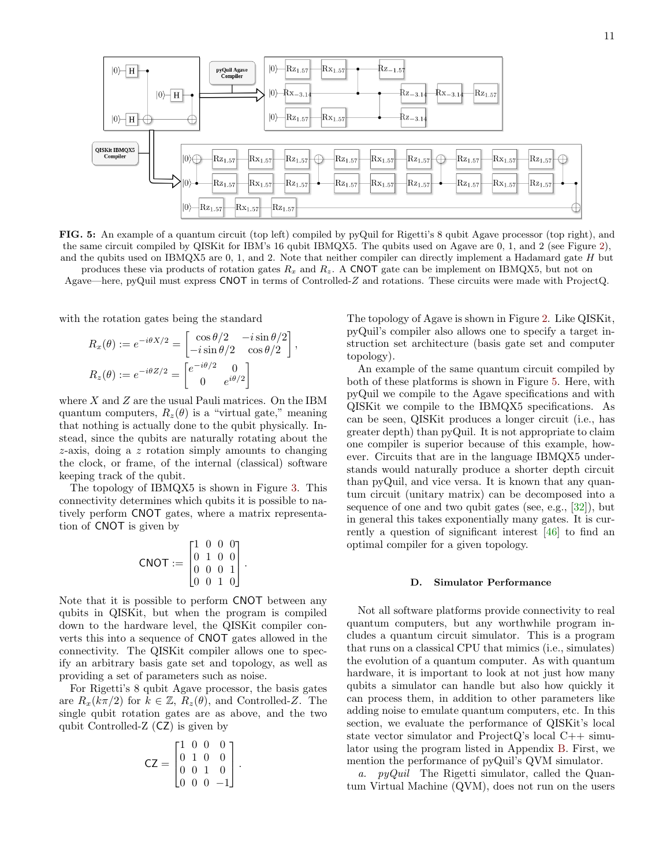<span id="page-10-1"></span>

FIG. 5: An example of a quantum circuit (top left) compiled by pyQuil for Rigetti's 8 qubit Agave processor (top right), and the same circuit compiled by QISKit for IBM's 16 qubit IBMQX5. The qubits used on Agave are 0, 1, and 2 (see Figure [2\)](#page-4-1), and the qubits used on IBMQX5 are 0, 1, and 2. Note that neither compiler can directly implement a Hadamard gate H but produces these via products of rotation gates  $R_x$  and  $R_z$ . A CNOT gate can be implement on IBMQX5, but not on

Agave—here, pyQuil must express CNOT in terms of Controlled-Z and rotations. These circuits were made with ProjectQ.

,

with the rotation gates being the standard

$$
R_x(\theta) := e^{-i\theta X/2} = \begin{bmatrix} \cos \theta/2 & -i \sin \theta/2\\ -i \sin \theta/2 & \cos \theta/2 \end{bmatrix}
$$

$$
R_z(\theta) := e^{-i\theta Z/2} = \begin{bmatrix} e^{-i\theta/2} & 0\\ 0 & e^{i\theta/2} \end{bmatrix}
$$

where  $X$  and  $Z$  are the usual Pauli matrices. On the IBM quantum computers,  $R_z(\theta)$  is a "virtual gate," meaning that nothing is actually done to the qubit physically. Instead, since the qubits are naturally rotating about the z-axis, doing a z rotation simply amounts to changing the clock, or frame, of the internal (classical) software keeping track of the qubit.

The topology of IBMQX5 is shown in Figure [3.](#page-5-0) This connectivity determines which qubits it is possible to natively perform CNOT gates, where a matrix representation of CNOT is given by

$$
\text{CNOT} := \begin{bmatrix} 1 & 0 & 0 & 0 \\ 0 & 1 & 0 & 0 \\ 0 & 0 & 0 & 1 \\ 0 & 0 & 1 & 0 \end{bmatrix}.
$$

Note that it is possible to perform CNOT between any qubits in QISKit, but when the program is compiled down to the hardware level, the QISKit compiler converts this into a sequence of CNOT gates allowed in the connectivity. The QISKit compiler allows one to specify an arbitrary basis gate set and topology, as well as providing a set of parameters such as noise.

For Rigetti's 8 qubit Agave processor, the basis gates are  $R_x(k\pi/2)$  for  $k \in \mathbb{Z}$ ,  $R_z(\theta)$ , and Controlled-Z. The single qubit rotation gates are as above, and the two qubit Controlled-Z (CZ) is given by

$$
CZ = \begin{bmatrix} 1 & 0 & 0 & 0 \\ 0 & 1 & 0 & 0 \\ 0 & 0 & 1 & 0 \\ 0 & 0 & 0 & -1 \end{bmatrix}.
$$

The topology of Agave is shown in Figure [2.](#page-4-1) Like QISKit, pyQuil's compiler also allows one to specify a target instruction set architecture (basis gate set and computer topology).

An example of the same quantum circuit compiled by both of these platforms is shown in Figure [5.](#page-10-1) Here, with pyQuil we compile to the Agave specifications and with QISKit we compile to the IBMQX5 specifications. As can be seen, QISKit produces a longer circuit (i.e., has greater depth) than pyQuil. It is not appropriate to claim one compiler is superior because of this example, however. Circuits that are in the language IBMQX5 understands would naturally produce a shorter depth circuit than pyQuil, and vice versa. It is known that any quantum circuit (unitary matrix) can be decomposed into a sequence of one and two qubit gates (see, e.g., [\[32\]](#page-13-30)), but in general this takes exponentially many gates. It is currently a question of significant interest [\[46\]](#page-14-6) to find an optimal compiler for a given topology.

### <span id="page-10-0"></span>D. Simulator Performance

Not all software platforms provide connectivity to real quantum computers, but any worthwhile program includes a quantum circuit simulator. This is a program that runs on a classical CPU that mimics (i.e., simulates) the evolution of a quantum computer. As with quantum hardware, it is important to look at not just how many qubits a simulator can handle but also how quickly it can process them, in addition to other parameters like adding noise to emulate quantum computers, etc. In this section, we evaluate the performance of QISKit's local state vector simulator and ProjectQ's local  $C++$  simulator using the program listed in Appendix [B.](#page-15-0) First, we mention the performance of pyQuil's QVM simulator.

a.  $pyQuil$  The Rigetti simulator, called the Quantum Virtual Machine (QVM), does not run on the users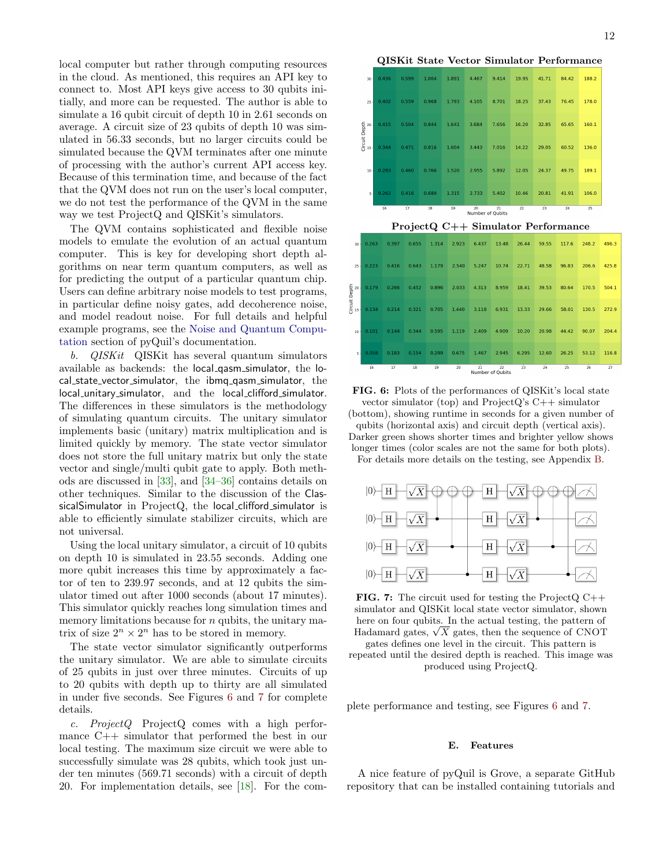local computer but rather through computing resources in the cloud. As mentioned, this requires an API key to connect to. Most API keys give access to 30 qubits initially, and more can be requested. The author is able to simulate a 16 qubit circuit of depth 10 in 2.61 seconds on average. A circuit size of 23 qubits of depth 10 was simulated in 56.33 seconds, but no larger circuits could be simulated because the QVM terminates after one minute of processing with the author's current API access key. Because of this termination time, and because of the fact that the QVM does not run on the user's local computer, we do not test the performance of the QVM in the same way we test ProjectQ and QISKit's simulators.

The QVM contains sophisticated and flexible noise models to emulate the evolution of an actual quantum computer. This is key for developing short depth algorithms on near term quantum computers, as well as for predicting the output of a particular quantum chip. Users can define arbitrary noise models to test programs, in particular define noisy gates, add decoherence noise, and model readout noise. For full details and helpful example programs, see the [Noise and Quantum Compu](http://pyquil.readthedocs.io/en/latest/noise.html)[tation](http://pyquil.readthedocs.io/en/latest/noise.html) section of pyQuil's documentation.

b. QISKit QISKit has several quantum simulators available as backends: the local qasm simulator, the local state vector simulator, the ibmq qasm simulator, the local\_unitary\_simulator, and the local\_clifford\_simulator. The differences in these simulators is the methodology of simulating quantum circuits. The unitary simulator implements basic (unitary) matrix multiplication and is limited quickly by memory. The state vector simulator does not store the full unitary matrix but only the state vector and single/multi qubit gate to apply. Both methods are discussed in [\[33\]](#page-13-31), and [\[34–](#page-13-32)[36\]](#page-14-7) contains details on other techniques. Similar to the discussion of the ClassicalSimulator in ProjectQ, the local\_clifford\_simulator is able to efficiently simulate stabilizer circuits, which are not universal.

Using the local unitary simulator, a circuit of 10 qubits on depth 10 is simulated in 23.55 seconds. Adding one more qubit increases this time by approximately a factor of ten to 239.97 seconds, and at 12 qubits the simulator timed out after 1000 seconds (about 17 minutes). This simulator quickly reaches long simulation times and memory limitations because for  $n$  qubits, the unitary matrix of size  $2^n \times 2^n$  has to be stored in memory.

The state vector simulator significantly outperforms the unitary simulator. We are able to simulate circuits of 25 qubits in just over three minutes. Circuits of up to 20 qubits with depth up to thirty are all simulated in under five seconds. See Figures [6](#page-11-1) and [7](#page-11-2) for complete details.

c. ProjectQ ProjectQ comes with a high performance C++ simulator that performed the best in our local testing. The maximum size circuit we were able to successfully simulate was 28 qubits, which took just under ten minutes (569.71 seconds) with a circuit of depth 20. For implementation details, see [\[18\]](#page-13-17). For the com-

QISKit State Vector Simulator Performance

<span id="page-11-1"></span>

| 30                                              | 0.436                                                                                                               | 0.599 | 1.004 | 1.891 | 4.467 | 9.414 | 19.95 | 41.71 | 84.42 | 188.2 |
|-------------------------------------------------|---------------------------------------------------------------------------------------------------------------------|-------|-------|-------|-------|-------|-------|-------|-------|-------|
| 25                                              | 0.402                                                                                                               | 0.559 | 0.968 | 1.793 | 4.105 | 8.701 | 18.25 | 37.43 | 76.45 | 178.0 |
| Circuit Depth<br><sub>15</sub><br><sup>26</sup> | 0.415                                                                                                               | 0.504 | 0.844 | 1.641 | 3.684 | 7.656 | 16.20 | 32.85 | 65.65 | 160.1 |
|                                                 | 0.344                                                                                                               | 0.471 | 0.816 | 1.604 | 3.443 | 7.016 | 14.22 | 29.05 | 60.52 | 136.0 |
| $10 -$                                          | 0.283                                                                                                               | 0.460 | 0.766 | 1.520 | 2.955 | 5.892 | 12.05 | 24.37 | 49.75 | 189.1 |
| $5 -$                                           | 0.262                                                                                                               | 0.416 | 0.689 | 1.315 | 2.733 | 5.402 | 10.46 | 20.81 | 41.91 | 106.0 |
|                                                 | $\overline{17}$<br>16<br>$\overline{22}$<br>$\overline{24}$<br>19<br>20<br>23<br>18<br>25<br>21<br>Number of Qubits |       |       |       |       |       |       |       |       |       |

|                                      | 16    | 17    | 18    | 19    | 20    | $\overline{21}$ | 22<br>Number of Qubits | 23    | $\overline{24}$ | 25    | 26    | 27    |
|--------------------------------------|-------|-------|-------|-------|-------|-----------------|------------------------|-------|-----------------|-------|-------|-------|
| $\mathbf{s}$ .                       | 0.058 | 0.183 | 0.154 | 0.299 | 0.675 | 1.467           | 2.945                  | 6.295 | 12.60           | 26.25 | 53.12 | 116.8 |
| $10 -$                               | 0.101 | 0.144 | 0.344 | 0.595 | 1.119 | 2.409           | 4.909                  | 10.20 | 20.98           | 44.42 | 90.07 | 204.4 |
|                                      | 0.134 | 0.214 | 0.321 | 0.705 | 1.440 | 3.118           | 6.931                  | 13.33 | 29.66           | 58.01 | 130.5 | 272.9 |
| Circuit Depth<br><sub>15</sub><br>20 | 0.179 | 0.266 | 0.452 | 0.896 | 2.033 | 4.313           | 8.959                  | 18.41 | 39.53           | 80.64 | 170.5 | 504.1 |
| 25                                   | 0.223 | 0.416 | 0.643 | 1.179 | 2.540 | 5.247           | 10.74                  | 22.71 | 48.58           | 96.83 | 206.6 | 425.8 |
| 30                                   | 0.263 | 0.397 | 0.655 | 1.314 | 2.923 | 6.437           | 13.48                  | 26.44 | 59.55           | 117.6 | 248.2 | 496.3 |
|                                      |       |       |       |       |       |                 |                        |       |                 |       |       |       |

FIG. 6: Plots of the performances of QISKit's local state vector simulator (top) and ProjectQ's  $C_{++}$  simulator (bottom), showing runtime in seconds for a given number of qubits (horizontal axis) and circuit depth (vertical axis). Darker green shows shorter times and brighter yellow shows longer times (color scales are not the same for both plots). For details more details on the testing, see Appendix [B.](#page-15-0)

<span id="page-11-2"></span>

**FIG. 7:** The circuit used for testing the ProjectQ  $C++$ simulator and QISKit local state vector simulator, shown here on four qubits. In the actual testing, the pattern of here on four qubits. In the actual testing, the pattern of Hadamard gates,  $\sqrt{X}$  gates, then the sequence of CNOT

gates defines one level in the circuit. This pattern is repeated until the desired depth is reached. This image was produced using ProjectQ.

plete performance and testing, see Figures [6](#page-11-1) and [7.](#page-11-2)

#### <span id="page-11-0"></span>E. Features

A nice feature of pyQuil is Grove, a separate GitHub repository that can be installed containing tutorials and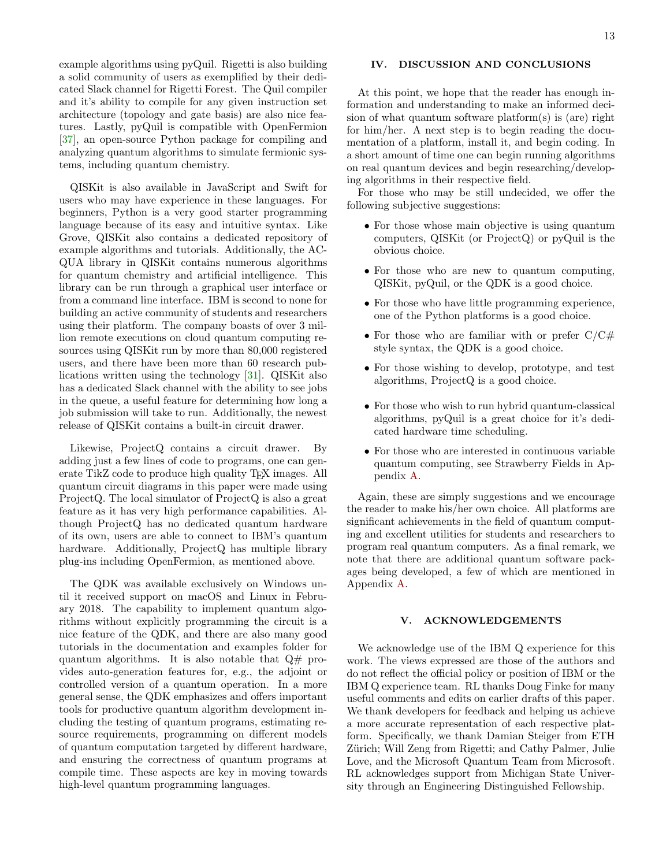example algorithms using pyQuil. Rigetti is also building a solid community of users as exemplified by their dedicated Slack channel for Rigetti Forest. The Quil compiler and it's ability to compile for any given instruction set architecture (topology and gate basis) are also nice features. Lastly, pyQuil is compatible with OpenFermion [\[37\]](#page-14-8), an open-source Python package for compiling and analyzing quantum algorithms to simulate fermionic systems, including quantum chemistry.

QISKit is also available in JavaScript and Swift for users who may have experience in these languages. For beginners, Python is a very good starter programming language because of its easy and intuitive syntax. Like Grove, QISKit also contains a dedicated repository of example algorithms and tutorials. Additionally, the AC-QUA library in QISKit contains numerous algorithms for quantum chemistry and artificial intelligence. This library can be run through a graphical user interface or from a command line interface. IBM is second to none for building an active community of students and researchers using their platform. The company boasts of over 3 million remote executions on cloud quantum computing resources using QISKit run by more than 80,000 registered users, and there have been more than 60 research publications written using the technology [\[31\]](#page-13-33). QISKit also has a dedicated Slack channel with the ability to see jobs in the queue, a useful feature for determining how long a job submission will take to run. Additionally, the newest release of QISKit contains a built-in circuit drawer.

Likewise, ProjectQ contains a circuit drawer. By adding just a few lines of code to programs, one can generate TikZ code to produce high quality T<sub>E</sub>X images. All quantum circuit diagrams in this paper were made using ProjectQ. The local simulator of ProjectQ is also a great feature as it has very high performance capabilities. Although ProjectQ has no dedicated quantum hardware of its own, users are able to connect to IBM's quantum hardware. Additionally, ProjectQ has multiple library plug-ins including OpenFermion, as mentioned above.

The QDK was available exclusively on Windows until it received support on macOS and Linux in February 2018. The capability to implement quantum algorithms without explicitly programming the circuit is a nice feature of the QDK, and there are also many good tutorials in the documentation and examples folder for quantum algorithms. It is also notable that Q# provides auto-generation features for, e.g., the adjoint or controlled version of a quantum operation. In a more general sense, the QDK emphasizes and offers important tools for productive quantum algorithm development including the testing of quantum programs, estimating resource requirements, programming on different models of quantum computation targeted by different hardware, and ensuring the correctness of quantum programs at compile time. These aspects are key in moving towards high-level quantum programming languages.

# <span id="page-12-0"></span>IV. DISCUSSION AND CONCLUSIONS

At this point, we hope that the reader has enough information and understanding to make an informed decision of what quantum software platform(s) is (are) right for him/her. A next step is to begin reading the documentation of a platform, install it, and begin coding. In a short amount of time one can begin running algorithms on real quantum devices and begin researching/developing algorithms in their respective field.

For those who may be still undecided, we offer the following subjective suggestions:

- For those whose main objective is using quantum computers, QISKit (or ProjectQ) or pyQuil is the obvious choice.
- For those who are new to quantum computing, QISKit, pyQuil, or the QDK is a good choice.
- For those who have little programming experience, one of the Python platforms is a good choice.
- For those who are familiar with or prefer  $C/C\#$ style syntax, the QDK is a good choice.
- For those wishing to develop, prototype, and test algorithms, ProjectQ is a good choice.
- For those who wish to run hybrid quantum-classical algorithms, pyQuil is a great choice for it's dedicated hardware time scheduling.
- For those who are interested in continuous variable quantum computing, see Strawberry Fields in Appendix [A.](#page-14-0)

Again, these are simply suggestions and we encourage the reader to make his/her own choice. All platforms are significant achievements in the field of quantum computing and excellent utilities for students and researchers to program real quantum computers. As a final remark, we note that there are additional quantum software packages being developed, a few of which are mentioned in Appendix [A.](#page-14-0)

### <span id="page-12-1"></span>V. ACKNOWLEDGEMENTS

We acknowledge use of the IBM Q experience for this work. The views expressed are those of the authors and do not reflect the official policy or position of IBM or the IBM Q experience team. RL thanks Doug Finke for many useful comments and edits on earlier drafts of this paper. We thank developers for feedback and helping us achieve a more accurate representation of each respective platform. Specifically, we thank Damian Steiger from ETH Zürich; Will Zeng from Rigetti; and Cathy Palmer, Julie Love, and the Microsoft Quantum Team from Microsoft. RL acknowledges support from Michigan State University through an Engineering Distinguished Fellowship.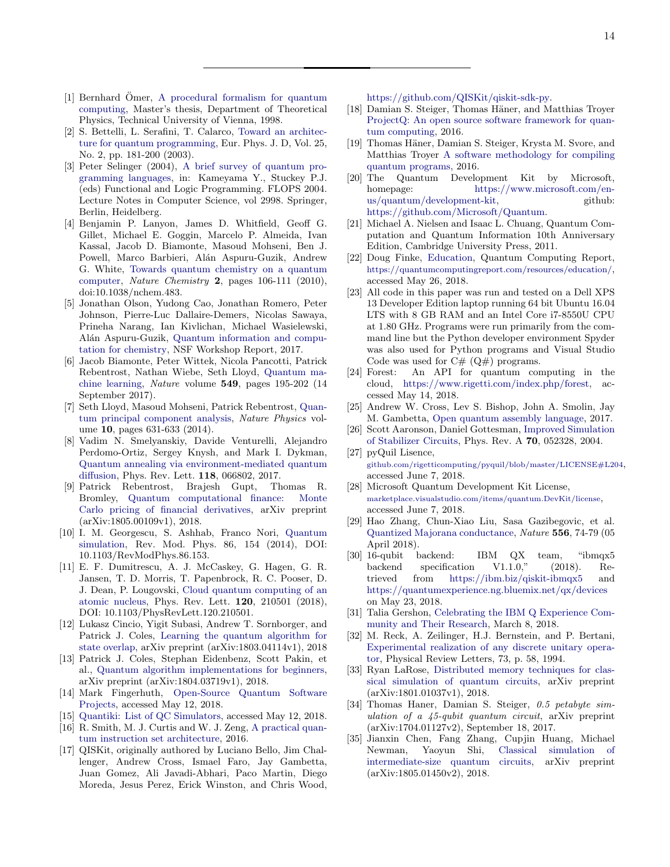- <span id="page-13-1"></span><span id="page-13-0"></span>[1] Bernhard Omer, [A procedural formalism for quantum](http://citeseerx.ist.psu.edu/viewdoc/similar?doi=10.1.1.121.5017&type=cc) [computing,](http://citeseerx.ist.psu.edu/viewdoc/similar?doi=10.1.1.121.5017&type=cc) Master's thesis, Department of Theoretical Physics, Technical University of Vienna, 1998.
- [2] S. Bettelli, L. Serafini, T. Calarco, [Toward an architec](https://arxiv.org/abs/cs/0103009)[ture for quantum programming,](https://arxiv.org/abs/cs/0103009) Eur. Phys. J. D, Vol. 25, No. 2, pp. 181-200 (2003).
- <span id="page-13-2"></span>[3] Peter Selinger (2004), [A brief survey of quantum pro](https://link.springer.com/chapter/10.1007/978-3-540-24754-8_1)[gramming languages,](https://link.springer.com/chapter/10.1007/978-3-540-24754-8_1) in: Kameyama Y., Stuckey P.J. (eds) Functional and Logic Programming. FLOPS 2004. Lecture Notes in Computer Science, vol 2998. Springer, Berlin, Heidelberg.
- <span id="page-13-3"></span>[4] Benjamin P. Lanyon, James D. Whitfield, Geoff G. Gillet, Michael E. Goggin, Marcelo P. Almeida, Ivan Kassal, Jacob D. Biamonte, Masoud Mohseni, Ben J. Powell, Marco Barbieri, Alán Aspuru-Guzik, Andrew G. White, [Towards quantum chemistry on a quantum](https://arxiv.org/abs/0905.0887) [computer,](https://arxiv.org/abs/0905.0887) Nature Chemistry 2, pages 106-111 (2010), doi:10.1038/nchem.483.
- <span id="page-13-4"></span>[5] Jonathan Olson, Yudong Cao, Jonathan Romero, Peter Johnson, Pierre-Luc Dallaire-Demers, Nicolas Sawaya, Prineha Narang, Ian Kivlichan, Michael Wasielewski, Alán Aspuru-Guzik, [Quantum information and compu](https://arxiv.org/abs/1706.05413)[tation for chemistry,](https://arxiv.org/abs/1706.05413) NSF Workshop Report, 2017.
- <span id="page-13-5"></span>[6] Jacob Biamonte, Peter Wittek, Nicola Pancotti, Patrick Rebentrost, Nathan Wiebe, Seth Lloyd, [Quantum ma](https://arxiv.org/abs/1611.09347)[chine learning,](https://arxiv.org/abs/1611.09347) Nature volume 549, pages 195-202 (14 September 2017).
- <span id="page-13-6"></span>[7] Seth Lloyd, Masoud Mohseni, Patrick Rebentrost, [Quan](https://arxiv.org/abs/1307.0401)[tum principal component analysis,](https://arxiv.org/abs/1307.0401) Nature Physics volume 10, pages 631-633 (2014).
- <span id="page-13-7"></span>[8] Vadim N. Smelyanskiy, Davide Venturelli, Alejandro Perdomo-Ortiz, Sergey Knysh, and Mark I. Dykman, [Quantum annealing via environment-mediated quantum](https://arxiv.org/abs/1511.02581) [diffusion,](https://arxiv.org/abs/1511.02581) Phys. Rev. Lett. 118, 066802, 2017.
- <span id="page-13-8"></span>[9] Patrick Rebentrost, Brajesh Gupt, Thomas R. Bromley, [Quantum computational finance: Monte](https://arxiv.org/abs/1805.00109) [Carlo pricing of financial derivatives,](https://arxiv.org/abs/1805.00109) arXiv preprint (arXiv:1805.00109v1), 2018.
- <span id="page-13-9"></span>[10] I. M. Georgescu, S. Ashhab, Franco Nori, [Quantum](https://arxiv.org/abs/1308.6253) [simulation,](https://arxiv.org/abs/1308.6253) Rev. Mod. Phys. 86, 154 (2014), DOI: 10.1103/RevModPhys.86.153.
- <span id="page-13-10"></span>[11] E. F. Dumitrescu, A. J. McCaskey, G. Hagen, G. R. Jansen, T. D. Morris, T. Papenbrock, R. C. Pooser, D. J. Dean, P. Lougovski, [Cloud quantum computing of an](https://arxiv.org/abs/1801.03897) [atomic nucleus,](https://arxiv.org/abs/1801.03897) Phys. Rev. Lett. 120, 210501 (2018), DOI: 10.1103/PhysRevLett.120.210501.
- <span id="page-13-11"></span>[12] Lukasz Cincio, Yigit Subasi, Andrew T. Sornborger, and Patrick J. Coles, [Learning the quantum algorithm for](https://arxiv.org/pdf/1803.04114.pdf) [state overlap,](https://arxiv.org/pdf/1803.04114.pdf) arXiv preprint (arXiv:1803.04114v1), 2018
- <span id="page-13-12"></span>[13] Patrick J. Coles, Stephan Eidenbenz, Scott Pakin, et al., [Quantum algorithm implementations for beginners,](https://arxiv.org/abs/1804.03719) arXiv preprint (arXiv:1804.03719v1), 2018.
- <span id="page-13-13"></span>[14] Mark Fingerhuth, [Open-Source Quantum Software](https://github.com/markf94/os_quantum_software) [Projects,](https://github.com/markf94/os_quantum_software) accessed May 12, 2018.
- <span id="page-13-14"></span>[15] [Quantiki: List of QC Simulators,](https://www.quantiki.org/wiki/list-qc-simulators) accessed May 12, 2018.
- <span id="page-13-15"></span>[16] R. Smith, M. J. Curtis and W. J. Zeng, [A practical quan](https://arxiv.org/abs/1608.03355)[tum instruction set architecture,](https://arxiv.org/abs/1608.03355) 2016.
- <span id="page-13-16"></span>[17] QISKit, originally authored by Luciano Bello, Jim Challenger, Andrew Cross, Ismael Faro, Jay Gambetta, Juan Gomez, Ali Javadi-Abhari, Paco Martin, Diego Moreda, Jesus Perez, Erick Winston, and Chris Wood,

[https://github.com/QISKit/qiskit-sdk-py.](https://github.com/QISKit/qiskit-sdk-py)

- <span id="page-13-17"></span>[18] Damian S. Steiger, Thomas Häner, and Matthias Troyer [ProjectQ: An open source software framework for quan](https://arxiv.org/abs/1612.08091)[tum computing,](https://arxiv.org/abs/1612.08091) 2016.
- <span id="page-13-18"></span>[19] Thomas Häner, Damian S. Steiger, Krysta M. Svore, and Matthias Troyer [A software methodology for compiling](https://arxiv.org/abs/1604.01401) [quantum programs,](https://arxiv.org/abs/1604.01401) 2016.
- <span id="page-13-19"></span>[20] The Quantum Development Kit by Microsoft, homepage: [https://www.microsoft.com/en](https://www.microsoft.com/en-us/quantum/development-kit)[us/quantum/development-kit,](https://www.microsoft.com/en-us/quantum/development-kit) github: [https://github.com/Microsoft/Quantum.](https://github.com/Microsoft/Quantum)
- <span id="page-13-20"></span>[21] Michael A. Nielsen and Isaac L. Chuang, Quantum Computation and Quantum Information 10th Anniversary Edition, Cambridge University Press, 2011.
- <span id="page-13-21"></span>[22] Doug Finke, [Education,](https://quantumcomputingreport.com/resources/education/) Quantum Computing Report, <https://quantumcomputingreport.com/resources/education/>, accessed May 26, 2018.
- <span id="page-13-22"></span>[23] All code in this paper was run and tested on a Dell XPS 13 Developer Edition laptop running 64 bit Ubuntu 16.04 LTS with 8 GB RAM and an Intel Core i7-8550U CPU at 1.80 GHz. Programs were run primarily from the command line but the Python developer environment Spyder was also used for Python programs and Visual Studio Code was used for  $C# (Q#)$  programs.
- <span id="page-13-23"></span>[24] Forest: An API for quantum computing in the cloud, [https://www.rigetti.com/index.php/forest,](https://www.rigetti.com/index.php/forest) accessed May 14, 2018.
- <span id="page-13-25"></span>[25] Andrew W. Cross, Lev S. Bishop, John A. Smolin, Jay M. Gambetta, [Open quantum assembly language,](https://arxiv.org/abs/1707.03429) 2017.
- <span id="page-13-26"></span>[26] Scott Aaronson, Daniel Gottesman, [Improved Simulation](https://arxiv.org/abs/quant-ph/0406196) [of Stabilizer Circuits,](https://arxiv.org/abs/quant-ph/0406196) Phys. Rev. A 70, 052328, 2004. [27] pyQuil Lisence,
- <span id="page-13-27"></span>[github.com/rigetticomputing/pyquil/blob/master/LICENSE#L204](https://github.com/rigetticomputing/pyquil/blob/master/LICENSE#L204), accessed June 7, 2018.
- <span id="page-13-28"></span>[28] Microsoft Quantum Development Kit License, [marketplace.visualstudio.com/items/quantum.DevKit/license](https://marketplace.visualstudio.com/items/quantum.DevKit/license), accessed June 7, 2018.
- <span id="page-13-29"></span>[29] Hao Zhang, Chun-Xiao Liu, Sasa Gazibegovic, et al. [Quantized Majorana conductance,](https://arxiv.org/abs/1710.10701) Nature 556, 74-79 (05 April 2018).
- <span id="page-13-24"></span>[30] 16-qubit backend: IBM QX team, "ibmqx5 backend specification V1.1.0," (2018). Retrieved from <https://ibm.biz/qiskit-ibmqx5> and <https://quantumexperience.ng.bluemix.net/qx/devices> on May 23, 2018.
- <span id="page-13-33"></span>[31] Talia Gershon, [Celebrating the IBM Q Experience Com](https://www.ibm.com/blogs/research/2018/03/ibmq-published-research/)[munity and Their Research,](https://www.ibm.com/blogs/research/2018/03/ibmq-published-research/) March 8, 2018.
- <span id="page-13-30"></span>[32] M. Reck, A. Zeilinger, H.J. Bernstein, and P. Bertani, [Experimental realization of any discrete unitary opera](https://journals.aps.org/prl/abstract/10.1103/PhysRevLett.73.58)[tor,](https://journals.aps.org/prl/abstract/10.1103/PhysRevLett.73.58) Physical Review Letters, 73, p. 58, 1994.
- <span id="page-13-31"></span>[33] Ryan LaRose, [Distributed memory techniques for clas](https://arxiv.org/abs/1801.01037)[sical simulation of quantum circuits,](https://arxiv.org/abs/1801.01037) arXiv preprint (arXiv:1801.01037v1), 2018.
- <span id="page-13-32"></span>[34] Thomas Haner, Damian S. Steiger, 0.5 petabyte simulation of a 45-qubit quantum circuit, arXiv preprint (arXiv:1704.01127v2), September 18, 2017.
- [35] Jianxin Chen, Fang Zhang, Cupjin Huang, Michael Newman, Yaoyun Shi, [Classical simulation of](https://arxiv.org/abs/1805.01450) [intermediate-size quantum circuits,](https://arxiv.org/abs/1805.01450) arXiv preprint (arXiv:1805.01450v2), 2018.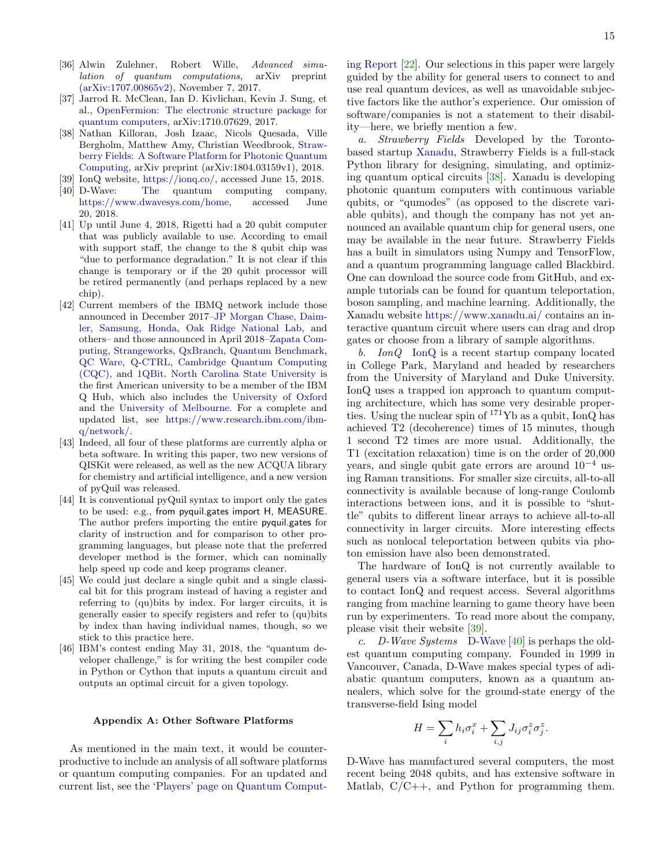- <span id="page-14-7"></span>[36] Alwin Zulehner, Robert Wille, Advanced simulation of quantum computations, arXiv preprint [\(arXiv:1707.00865v2\)](https://arxiv.org/abs/1707.00865), November 7, 2017.
- <span id="page-14-8"></span>[37] Jarrod R. McClean, Ian D. Kivlichan, Kevin J. Sung, et al., [OpenFermion: The electronic structure package for](https://arxiv.org/abs/1710.07629) [quantum computers,](https://arxiv.org/abs/1710.07629) arXiv:1710.07629, 2017.
- <span id="page-14-9"></span>[38] Nathan Killoran, Josh Izaac, Nicols Quesada, Ville Bergholm, Matthew Amy, Christian Weedbrook, [Straw](https://arxiv.org/abs/1804.03159)[berry Fields: A Software Platform for Photonic Quantum](https://arxiv.org/abs/1804.03159) [Computing,](https://arxiv.org/abs/1804.03159) arXiv preprint (arXiv:1804.03159v1), 2018.
- <span id="page-14-10"></span>[39] IonQ website, [https://ionq.co/,](https://ionq.co/) accessed June 15, 2018.
- <span id="page-14-11"></span>[40] D-Wave: The quantum computing company, [https://www.dwavesys.com/home,](https://www.dwavesys.com/home) accessed June 20, 2018.
- <span id="page-14-1"></span>[41] Up until June 4, 2018, Rigetti had a 20 qubit computer that was publicly available to use. According to email with support staff, the change to the 8 qubit chip was "due to performance degradation." It is not clear if this change is temporary or if the 20 qubit processor will be retired permanently (and perhaps replaced by a new chip).
- <span id="page-14-2"></span>[42] Current members of the IBMQ network include those announced in December 2017[–JP Morgan Chase,](https://www.wired.com/story/why-jp-morgan-daimler-are-testing-computers-that-arent-useful-yet/) [Daim](https://www.daimler.com/en/)[ler,](https://www.daimler.com/en/) [Samsung,](https://www.samsung.com/us/) [Honda,](https://www.honda.com/) [Oak Ridge National Lab,](https://www.ornl.gov/) and others– and those announced in April 2018[–Zapata Com](http://www.zapatacomputing.com/)[puting,](http://www.zapatacomputing.com/) [Strangeworks,](https://strangeworks.com/) [QxBranch,](http://www.qxbranch.com/) [Quantum Benchmark,](http://quantumbenchmark.com/) [QC Ware,](https://qcware.com/) [Q-CTRL,](https://q-ctrl.com/) [Cambridge Quantum Computing](https://cambridgequantum.com/) [\(CQC\),](https://cambridgequantum.com/) and [1QBit.](https://1qbit.com/) [North Carolina State University](https://www.ncsu.edu/) is the first American university to be a member of the IBM Q Hub, which also includes the [University of Oxford](http://www.ox.ac.uk/) and the [University of Melbourne.](https://www.unimelb.edu.au/) For a complete and updated list, see [https://www.research.ibm.com/ibm](https://www.research.ibm.com/ibm-q/network/)[q/network/.](https://www.research.ibm.com/ibm-q/network/)
- <span id="page-14-3"></span>[43] Indeed, all four of these platforms are currently alpha or beta software. In writing this paper, two new versions of QISKit were released, as well as the new ACQUA library for chemistry and artificial intelligence, and a new version of pyQuil was released.
- <span id="page-14-4"></span>[44] It is conventional pyQuil syntax to import only the gates to be used: e.g., from pyquil.gates import H, MEASURE. The author prefers importing the entire pyquil.gates for clarity of instruction and for comparison to other programming languages, but please note that the preferred developer method is the former, which can nominally help speed up code and keep programs cleaner.
- <span id="page-14-5"></span>[45] We could just declare a single qubit and a single classical bit for this program instead of having a register and referring to (qu)bits by index. For larger circuits, it is generally easier to specify registers and refer to (qu)bits by index than having individual names, though, so we stick to this practice here.
- <span id="page-14-6"></span>[46] IBM's contest ending May 31, 2018, the "quantum developer challenge," is for writing the best compiler code in Python or Cython that inputs a quantum circuit and outputs an optimal circuit for a given topology.

#### <span id="page-14-0"></span>Appendix A: Other Software Platforms

As mentioned in the main text, it would be counterproductive to include an analysis of all software platforms or quantum computing companies. For an updated and current list, see the ['Players' page on Quantum Comput-](https://quantumcomputingreport.com/players/) [ing Report](https://quantumcomputingreport.com/players/) [\[22\]](#page-13-21). Our selections in this paper were largely guided by the ability for general users to connect to and use real quantum devices, as well as unavoidable subjective factors like the author's experience. Our omission of software/companies is not a statement to their disability—here, we briefly mention a few.

a. Strawberry Fields Developed by the Torontobased startup [Xanadu,](https://www.xanadu.ai/) Strawberry Fields is a full-stack Python library for designing, simulating, and optimizing quantum optical circuits [\[38\]](#page-14-9). Xanadu is developing photonic quantum computers with continuous variable qubits, or "qumodes" (as opposed to the discrete variable qubits), and though the company has not yet announced an available quantum chip for general users, one may be available in the near future. Strawberry Fields has a built in simulators using Numpy and TensorFlow, and a quantum programming language called Blackbird. One can download the source code from GitHub, and example tutorials can be found for quantum teleportation, boson sampling, and machine learning. Additionally, the Xanadu website <https://www.xanadu.ai/> contains an interactive quantum circuit where users can drag and drop gates or choose from a library of sample algorithms.

b. IonQ [IonQ](https://ionq.co) is a recent startup company located in College Park, Maryland and headed by researchers from the University of Maryland and Duke University. IonQ uses a trapped ion approach to quantum computing architecture, which has some very desirable properties. Using the nuclear spin of <sup>171</sup>Yb as a qubit, IonQ has achieved T2 (decoherence) times of 15 minutes, though 1 second T2 times are more usual. Additionally, the T1 (excitation relaxation) time is on the order of 20,000 years, and single qubit gate errors are around  $10^{-4}$  using Raman transitions. For smaller size circuits, all-to-all connectivity is available because of long-range Coulomb interactions between ions, and it is possible to "shuttle" qubits to different linear arrays to achieve all-to-all connectivity in larger circuits. More interesting effects such as nonlocal teleportation between qubits via photon emission have also been demonstrated.

The hardware of IonQ is not currently available to general users via a software interface, but it is possible to contact IonQ and request access. Several algorithms ranging from machine learning to game theory have been run by experimenters. To read more about the company, please visit their website [\[39\]](#page-14-10).

c. D-Wave Systems [D-Wave](https://www.dwavesys.com/home) [\[40\]](#page-14-11) is perhaps the oldest quantum computing company. Founded in 1999 in Vancouver, Canada, D-Wave makes special types of adiabatic quantum computers, known as a quantum annealers, which solve for the ground-state energy of the transverse-field Ising model

$$
H = \sum_{i} h_i \sigma_i^x + \sum_{i,j} J_{ij} \sigma_i^z \sigma_j^z.
$$

D-Wave has manufactured several computers, the most recent being 2048 qubits, and has extensive software in Matlab,  $C/C++$ , and Python for programming them.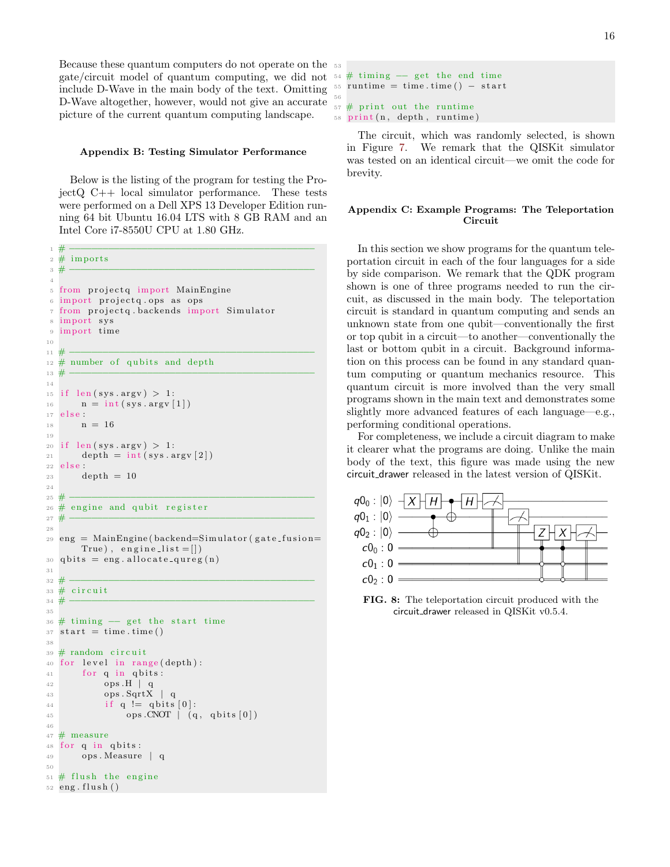Because these quantum computers do not operate on the 53 gate/circuit model of quantum computing, we did not  $54 \#$  timing  $-$  get the end time include D-Wave in the main body of the text. Omitting D-Wave altogether, however, would not give an accurate picture of the current quantum computing landscape.

#### <span id="page-15-0"></span>Appendix B: Testing Simulator Performance

Below is the listing of the program for testing the ProjectQ C++ local simulator performance. These tests were performed on a Dell XPS 13 Developer Edition running 64 bit Ubuntu 16.04 LTS with 8 GB RAM and an Intel Core i7-8550U CPU at 1.80 GHz.

```
1 # −−−−−−−−−−−−−−−−−−−−−−−−−−−−−−−−−−−−−−−−−−−−
2 \# imports
 3 # −−−−−−−−−−−−−−−−−−−−−−−−−−−−−−−−−−−−−−−−−−−−
 4
5 from projectq import MainEngine
6 import projectq.ops as ops
7 from projectq. backends import Simulator
8 import sys
9 import time
10
11 # −−−−−−−−−−−−−−−−−−−−−−−−−−−−−−−−−−−−−−−−−−−−
12 \# number of qubits and depth
13 # −−−−−−−−−−−−−−−−−−−−−−−−−−−−−−−−−−−−−−−−−−−−
14
15 if len (sys. argv) > 1:
_{16} n = int (sys. argv [1])
17 e l s e :
18 \qquad n = 1619
_{20} if len (sys.argv) > 1:
21 depth = int (sys. argv [2])
22 else
23 depth = 10
2425 # −−−−−−−−−−−−−−−−−−−−−−−−−−−−−−−−−−−−−−−−−−−−
26 \# engine and qubit register
27 # −−−−−−−−−−−−−−−−−−−−−−−−−−−−−−−−−−−−−−−−−−−−
28
29 \text{ erg} = \text{MainEngine}(\text{backend} = \text{Simulator}(\text{gate} \cdot \text{fusion})True), engine-list = []30 q b its = eng. allocate_qureg(n)
31
32 # −−−−−−−−−−−−−−−−−−−−−−−−−−−−−−−−−−−−−−−−−−−−
33 \# circuit
34 # −−−−−−−−−−−−−−−−−−−−−−−−−−−−−−−−−−−−−−−−−−−−
35
36 \# timing - get the start time
37 \text{ start} = \text{time} \cdot \text{time}()38
39 \# random circuit
40 for level in range (depth):
41 for q in qbits:
42 ops .H | q
43 ops . SqrtX | q
44 if q := q \text{ bits } [0]:45 ops .CNOT | (q, qbits[0])46
47 \# measure
48 for q in qbits:
49 ops . Measure | q
50
51 \# flush the engine
52 eng. flush ()
```

```
_{55} runtime = time.time() – start
56
57 \# print out the runtime
58 print (n, \text{ depth}, \text{ runtime})
```
The circuit, which was randomly selected, is shown in Figure [7.](#page-11-2) We remark that the QISKit simulator was tested on an identical circuit—we omit the code for brevity.

# <span id="page-15-1"></span>Appendix C: Example Programs: The Teleportation Circuit

In this section we show programs for the quantum teleportation circuit in each of the four languages for a side by side comparison. We remark that the QDK program shown is one of three programs needed to run the circuit, as discussed in the main body. The teleportation circuit is standard in quantum computing and sends an unknown state from one qubit—conventionally the first or top qubit in a circuit—to another—conventionally the last or bottom qubit in a circuit. Background information on this process can be found in any standard quantum computing or quantum mechanics resource. This quantum circuit is more involved than the very small programs shown in the main text and demonstrates some slightly more advanced features of each language—e.g., performing conditional operations.

For completeness, we include a circuit diagram to make it clearer what the programs are doing. Unlike the main body of the text, this figure was made using the new circuit drawer released in the latest version of QISKit.



FIG. 8: The teleportation circuit produced with the circuit drawer released in QISKit v0.5.4.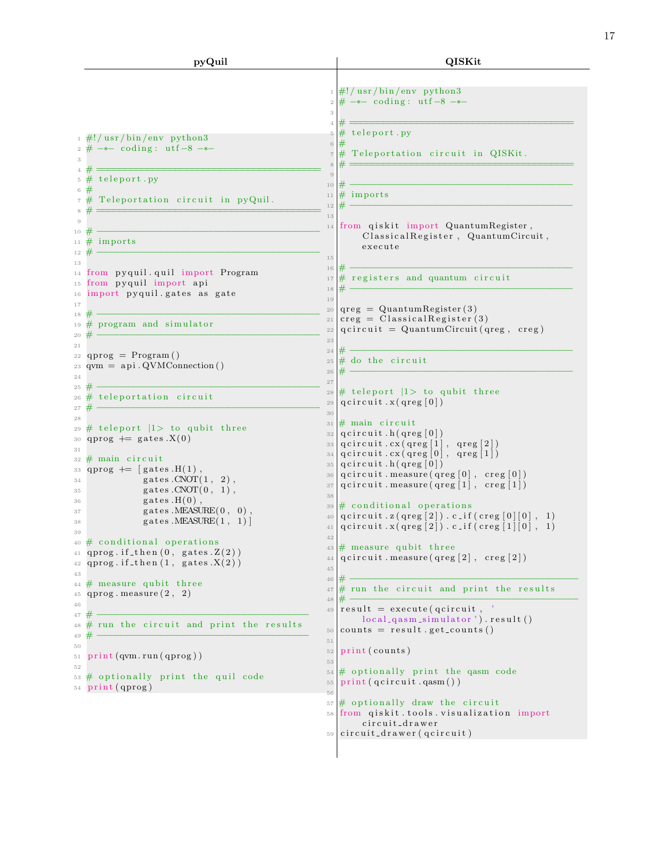| pyQuil                                                                                                                                                                                                                                                                                                                                                                                                                                                                                                                    | QISKit                                                                                                                                                                                                                                                                                                                                                                                                                                                                                                                                                                                                                                                              |
|---------------------------------------------------------------------------------------------------------------------------------------------------------------------------------------------------------------------------------------------------------------------------------------------------------------------------------------------------------------------------------------------------------------------------------------------------------------------------------------------------------------------------|---------------------------------------------------------------------------------------------------------------------------------------------------------------------------------------------------------------------------------------------------------------------------------------------------------------------------------------------------------------------------------------------------------------------------------------------------------------------------------------------------------------------------------------------------------------------------------------------------------------------------------------------------------------------|
| $\frac{1}{2}$ #!/ usr/bin/env python3<br>$2 \# -$ coding: utf-8 $-*$                                                                                                                                                                                                                                                                                                                                                                                                                                                      | $\frac{1}{2}$ #!/ usr/bin/env python3<br>$\# -$ coding: utf-8 $-*$<br>$\,2$<br>3<br>$\overline{4}$<br># teleport.py<br>$\overline{5}$<br>#<br>$\sqrt{6}$<br># Teleportation circuit in QISKit.<br>$\,7$                                                                                                                                                                                                                                                                                                                                                                                                                                                             |
| 4#<br>$5 \#$ teleport.py<br>6#<br>Teleportation circuit in pyQuil.<br>7#<br>8<br>$\overline{9}$<br>10 $#$                                                                                                                                                                                                                                                                                                                                                                                                                 | $\overline{9}$<br>#<br>10<br>$#$ imports<br>11<br>#<br>$1\,2$<br>13<br>from qiskit import QuantumRegister,<br>14<br>ClassicalRegister, QuantumCircuit,                                                                                                                                                                                                                                                                                                                                                                                                                                                                                                              |
| 11 $\#$ imports<br>$12 \#$<br>13<br><sup>14</sup> from pyquil.quil import Program<br>15 from pyquil import api<br>16 import pyquil.gates as gate<br>17<br>18                                                                                                                                                                                                                                                                                                                                                              | execute<br>$1\,5$<br>16<br># registers and quantum circuit<br>$17\,$<br>#<br>18<br>19<br>$qreg = Quantum Register(3)$<br>20<br>$\text{creg} = \text{Classical Register}(3)$<br>$2\sqrt{1}$                                                                                                                                                                                                                                                                                                                                                                                                                                                                          |
| $_{19}$ # program and simulator<br>#<br>20<br>21<br>22 qprog = $Program()$<br>23 qvm = $api.QVMConnection()$<br>24<br>$25 \#$<br>$26 \#$ teleportation circuit<br>#                                                                                                                                                                                                                                                                                                                                                       | $qcircuit = Quantum Circuit(qreg, creg)$<br>$2\sqrt{2}$<br>23<br>#<br>24<br>$\#$ do the circuit<br>$\sqrt{25}$<br>#<br>$\sqrt{26}$<br>27<br># teleport $ 1>$ to qubit three<br>$\sqrt{28}$<br>qcircuit.x(qreg[0])<br>$\sqrt{29}$                                                                                                                                                                                                                                                                                                                                                                                                                                    |
| 27<br>28<br>29 $\#$ teleport $ 1>$ to qubit three<br>30 qprog $+=$ gates $.X(0)$<br>31<br>$32 \#$ main circuit<br>$qprog \vcentcolon=   gates.H(1) ,$<br>33<br>gates $CNOT(1, 2)$ ,<br>34<br>gates. $CNOT(0, 1)$ ,<br>35<br>gates $.H(0)$ ,<br>36<br>gates.MEASURE(0, 0),<br>37<br>gates. MEASURE $(1, 1)$<br>38<br>39<br>$40 \#$ conditional operations<br>41 qprog.if_then $(0,$ gates. $Z(2)$ )<br>qprog.if_then $(1,$ gates $X(2)$ )<br>42<br>43<br>$#$ measure qubit three<br>44<br>qprog. measure(2, 2)<br>45<br>46 | 30<br>$#$ main circuit<br>31<br>qcircuit.h(qreg   0)<br>32<br>qcircuit.cx(qreg[1], qreg[2])<br>33<br>qcircuit.cx(qreg[0], qreg[1])<br>34<br>qcircuit.h(qreg   0   )<br>35<br>$qcircuit \cdot measure(qreg[0], creg[0])$<br>36<br>$qcircuit \cdot measure(qreg[1], creg[1])$<br>37<br>38<br>$\#$ conditional operations<br>39<br>$qcircuit .z(qreg [2]) .c .if(creg [0] [0],$<br>$\perp$ )<br>40<br>$qcircuit.x(qreg[2]) . c_if(creg[1][0], 1)$<br>41<br>$4\sqrt{2}$<br># measure qubit three<br>43<br>$qcircuit \cdot measure(qreg[2], creg[2])$<br>44<br>45<br>#<br>46<br>$\#$ run the circuit and print the results<br>47<br>48<br>$result = execute(qcircuit, )$ |
| 47<br>48 # run the circuit and print the results<br>49<br>50<br>print(qvm.run(qprog))<br>51<br>52<br># optionally print the quil code<br>53<br>$54$ print (qprog)                                                                                                                                                                                                                                                                                                                                                         | 49<br>$local_{qasm\_simulator}$ '). $result()$<br>$counts = result.get_counts()$<br>$50\,$<br>51<br>print (counts)<br>$5\sqrt{2}$<br>53<br># optionally print the qasm code<br>$54\,$<br>print(qcircuit.qasm())<br>$5\,5$<br>56                                                                                                                                                                                                                                                                                                                                                                                                                                     |
|                                                                                                                                                                                                                                                                                                                                                                                                                                                                                                                           | # optionally draw the circuit<br>57<br>from qiskit.tools.visualization import<br>58<br>circuit_drawer<br>circuit_drawer(qcircuit)<br>59                                                                                                                                                                                                                                                                                                                                                                                                                                                                                                                             |